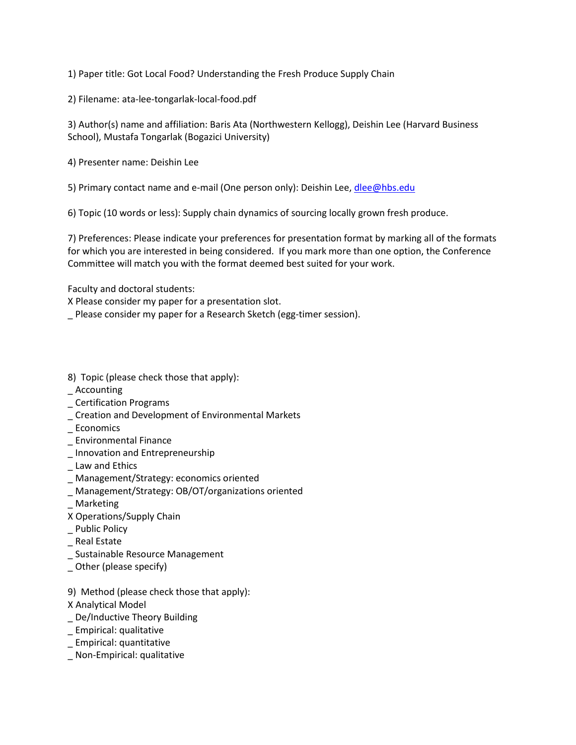1) Paper title: Got Local Food? Understanding the Fresh Produce Supply Chain

2) Filename: ata-lee-tongarlak-local-food.pdf

3) Author(s) name and affiliation: Baris Ata (Northwestern Kellogg), Deishin Lee (Harvard Business School), Mustafa Tongarlak (Bogazici University)

4) Presenter name: Deishin Lee

5) Primary contact name and e-mail (One person only): Deishin Lee[, dlee@hbs.edu](mailto:dlee@hbs.edu)

6) Topic (10 words or less): Supply chain dynamics of sourcing locally grown fresh produce.

7) Preferences: Please indicate your preferences for presentation format by marking all of the formats for which you are interested in being considered. If you mark more than one option, the Conference Committee will match you with the format deemed best suited for your work.

Faculty and doctoral students:

X Please consider my paper for a presentation slot.

\_ Please consider my paper for a Research Sketch (egg-timer session).

8) Topic (please check those that apply):

- **Accounting**
- \_ Certification Programs
- \_ Creation and Development of Environmental Markets
- \_ Economics
- \_ Environmental Finance
- \_ Innovation and Entrepreneurship
- \_ Law and Ethics
- \_ Management/Strategy: economics oriented
- \_ Management/Strategy: OB/OT/organizations oriented
- **Marketing**
- X Operations/Supply Chain
- Public Policy
- \_ Real Estate
- \_ Sustainable Resource Management
- \_ Other (please specify)
- 9) Method (please check those that apply):
- X Analytical Model
- De/Inductive Theory Building
- \_ Empirical: qualitative
- \_ Empirical: quantitative
- \_ Non-Empirical: qualitative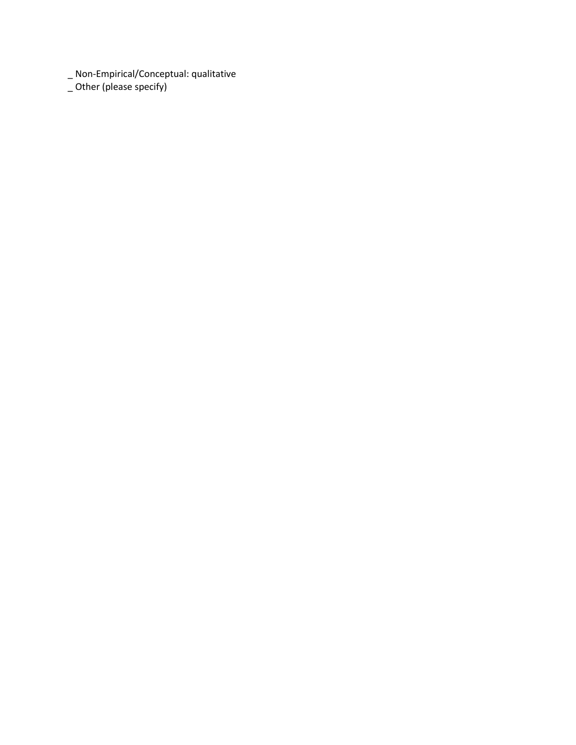\_ Non-Empirical/Conceptual: qualitative

\_ Other (please specify)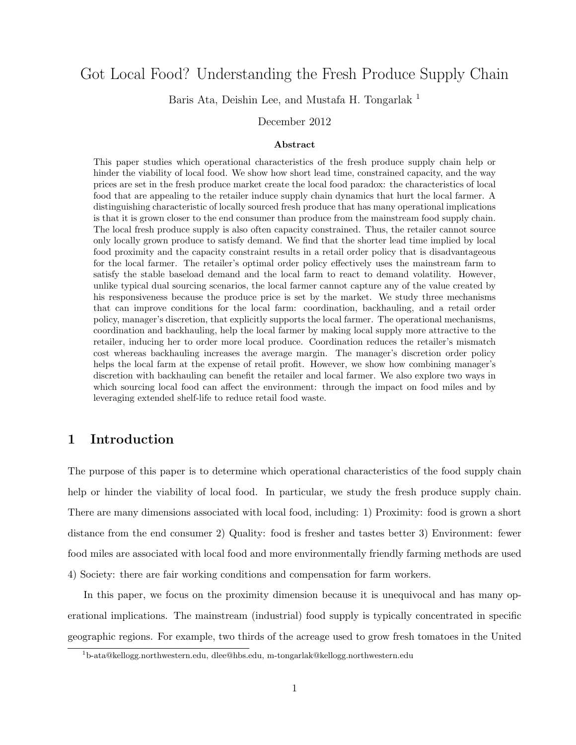# Got Local Food? Understanding the Fresh Produce Supply Chain

Baris Ata, Deishin Lee, and Mustafa H. Tongarlak<sup>1</sup>

December 2012

### Abstract

This paper studies which operational characteristics of the fresh produce supply chain help or hinder the viability of local food. We show how short lead time, constrained capacity, and the way prices are set in the fresh produce market create the local food paradox: the characteristics of local food that are appealing to the retailer induce supply chain dynamics that hurt the local farmer. A distinguishing characteristic of locally sourced fresh produce that has many operational implications is that it is grown closer to the end consumer than produce from the mainstream food supply chain. The local fresh produce supply is also often capacity constrained. Thus, the retailer cannot source only locally grown produce to satisfy demand. We find that the shorter lead time implied by local food proximity and the capacity constraint results in a retail order policy that is disadvantageous for the local farmer. The retailer's optimal order policy effectively uses the mainstream farm to satisfy the stable baseload demand and the local farm to react to demand volatility. However, unlike typical dual sourcing scenarios, the local farmer cannot capture any of the value created by his responsiveness because the produce price is set by the market. We study three mechanisms that can improve conditions for the local farm: coordination, backhauling, and a retail order policy, manager's discretion, that explicitly supports the local farmer. The operational mechanisms, coordination and backhauling, help the local farmer by making local supply more attractive to the retailer, inducing her to order more local produce. Coordination reduces the retailer's mismatch cost whereas backhauling increases the average margin. The manager's discretion order policy helps the local farm at the expense of retail profit. However, we show how combining manager's discretion with backhauling can benefit the retailer and local farmer. We also explore two ways in which sourcing local food can affect the environment: through the impact on food miles and by leveraging extended shelf-life to reduce retail food waste.

# 1 Introduction

The purpose of this paper is to determine which operational characteristics of the food supply chain help or hinder the viability of local food. In particular, we study the fresh produce supply chain. There are many dimensions associated with local food, including: 1) Proximity: food is grown a short distance from the end consumer 2) Quality: food is fresher and tastes better 3) Environment: fewer food miles are associated with local food and more environmentally friendly farming methods are used 4) Society: there are fair working conditions and compensation for farm workers.

In this paper, we focus on the proximity dimension because it is unequivocal and has many operational implications. The mainstream (industrial) food supply is typically concentrated in specific geographic regions. For example, two thirds of the acreage used to grow fresh tomatoes in the United

<sup>1</sup>b-ata@kellogg.northwestern.edu, dlee@hbs.edu, m-tongarlak@kellogg.northwestern.edu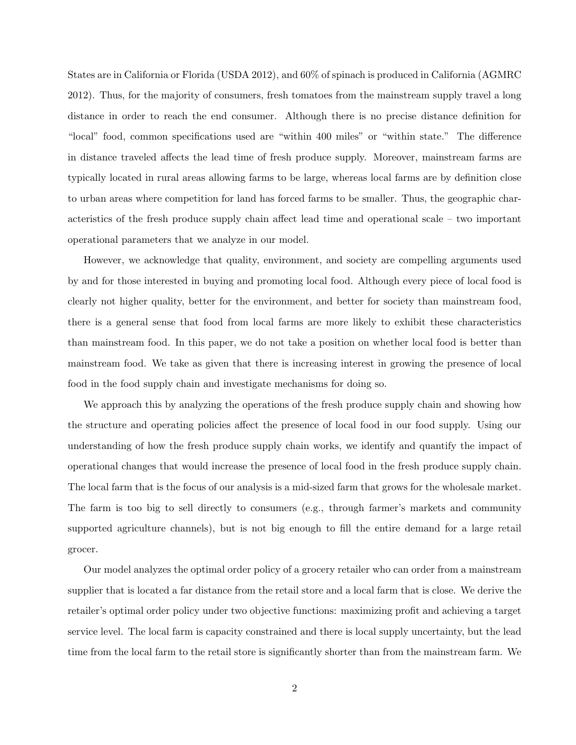States are in California or Florida (USDA 2012), and 60% of spinach is produced in California (AGMRC 2012). Thus, for the majority of consumers, fresh tomatoes from the mainstream supply travel a long distance in order to reach the end consumer. Although there is no precise distance definition for "local" food, common specifications used are "within 400 miles" or "within state." The difference in distance traveled affects the lead time of fresh produce supply. Moreover, mainstream farms are typically located in rural areas allowing farms to be large, whereas local farms are by definition close to urban areas where competition for land has forced farms to be smaller. Thus, the geographic characteristics of the fresh produce supply chain affect lead time and operational scale – two important operational parameters that we analyze in our model.

However, we acknowledge that quality, environment, and society are compelling arguments used by and for those interested in buying and promoting local food. Although every piece of local food is clearly not higher quality, better for the environment, and better for society than mainstream food, there is a general sense that food from local farms are more likely to exhibit these characteristics than mainstream food. In this paper, we do not take a position on whether local food is better than mainstream food. We take as given that there is increasing interest in growing the presence of local food in the food supply chain and investigate mechanisms for doing so.

We approach this by analyzing the operations of the fresh produce supply chain and showing how the structure and operating policies affect the presence of local food in our food supply. Using our understanding of how the fresh produce supply chain works, we identify and quantify the impact of operational changes that would increase the presence of local food in the fresh produce supply chain. The local farm that is the focus of our analysis is a mid-sized farm that grows for the wholesale market. The farm is too big to sell directly to consumers (e.g., through farmer's markets and community supported agriculture channels), but is not big enough to fill the entire demand for a large retail grocer.

Our model analyzes the optimal order policy of a grocery retailer who can order from a mainstream supplier that is located a far distance from the retail store and a local farm that is close. We derive the retailer's optimal order policy under two objective functions: maximizing profit and achieving a target service level. The local farm is capacity constrained and there is local supply uncertainty, but the lead time from the local farm to the retail store is significantly shorter than from the mainstream farm. We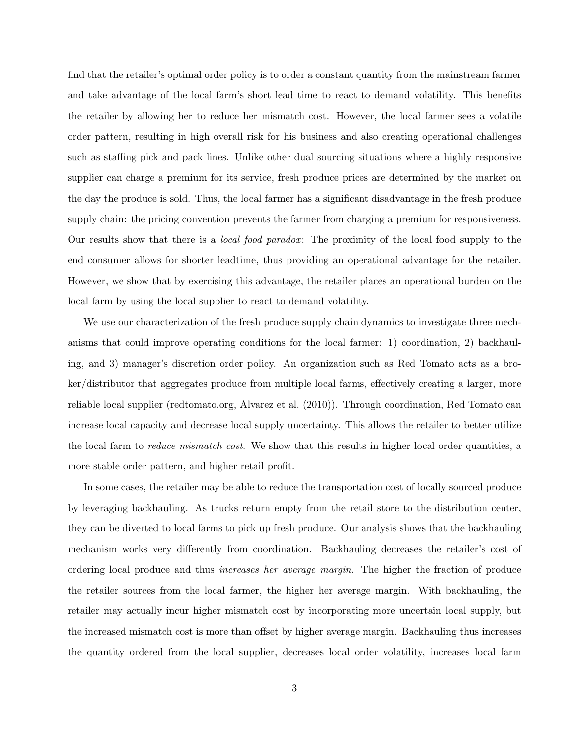find that the retailer's optimal order policy is to order a constant quantity from the mainstream farmer and take advantage of the local farm's short lead time to react to demand volatility. This benefits the retailer by allowing her to reduce her mismatch cost. However, the local farmer sees a volatile order pattern, resulting in high overall risk for his business and also creating operational challenges such as staffing pick and pack lines. Unlike other dual sourcing situations where a highly responsive supplier can charge a premium for its service, fresh produce prices are determined by the market on the day the produce is sold. Thus, the local farmer has a significant disadvantage in the fresh produce supply chain: the pricing convention prevents the farmer from charging a premium for responsiveness. Our results show that there is a *local food paradox*: The proximity of the local food supply to the end consumer allows for shorter leadtime, thus providing an operational advantage for the retailer. However, we show that by exercising this advantage, the retailer places an operational burden on the local farm by using the local supplier to react to demand volatility.

We use our characterization of the fresh produce supply chain dynamics to investigate three mechanisms that could improve operating conditions for the local farmer: 1) coordination, 2) backhauling, and 3) manager's discretion order policy. An organization such as Red Tomato acts as a broker/distributor that aggregates produce from multiple local farms, effectively creating a larger, more reliable local supplier (redtomato.org, Alvarez et al. (2010)). Through coordination, Red Tomato can increase local capacity and decrease local supply uncertainty. This allows the retailer to better utilize the local farm to *reduce mismatch cost*. We show that this results in higher local order quantities, a more stable order pattern, and higher retail profit.

In some cases, the retailer may be able to reduce the transportation cost of locally sourced produce by leveraging backhauling. As trucks return empty from the retail store to the distribution center, they can be diverted to local farms to pick up fresh produce. Our analysis shows that the backhauling mechanism works very differently from coordination. Backhauling decreases the retailer's cost of ordering local produce and thus increases her average margin. The higher the fraction of produce the retailer sources from the local farmer, the higher her average margin. With backhauling, the retailer may actually incur higher mismatch cost by incorporating more uncertain local supply, but the increased mismatch cost is more than offset by higher average margin. Backhauling thus increases the quantity ordered from the local supplier, decreases local order volatility, increases local farm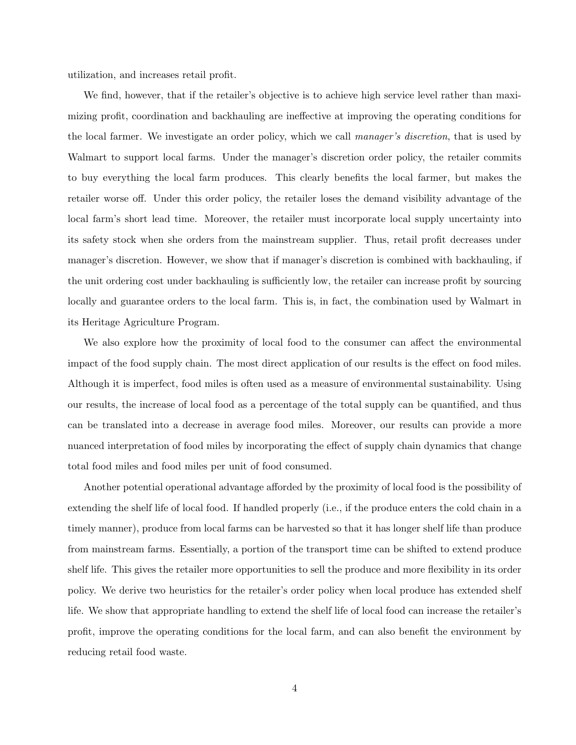utilization, and increases retail profit.

We find, however, that if the retailer's objective is to achieve high service level rather than maximizing profit, coordination and backhauling are ineffective at improving the operating conditions for the local farmer. We investigate an order policy, which we call manager's discretion, that is used by Walmart to support local farms. Under the manager's discretion order policy, the retailer commits to buy everything the local farm produces. This clearly benefits the local farmer, but makes the retailer worse off. Under this order policy, the retailer loses the demand visibility advantage of the local farm's short lead time. Moreover, the retailer must incorporate local supply uncertainty into its safety stock when she orders from the mainstream supplier. Thus, retail profit decreases under manager's discretion. However, we show that if manager's discretion is combined with backhauling, if the unit ordering cost under backhauling is sufficiently low, the retailer can increase profit by sourcing locally and guarantee orders to the local farm. This is, in fact, the combination used by Walmart in its Heritage Agriculture Program.

We also explore how the proximity of local food to the consumer can affect the environmental impact of the food supply chain. The most direct application of our results is the effect on food miles. Although it is imperfect, food miles is often used as a measure of environmental sustainability. Using our results, the increase of local food as a percentage of the total supply can be quantified, and thus can be translated into a decrease in average food miles. Moreover, our results can provide a more nuanced interpretation of food miles by incorporating the effect of supply chain dynamics that change total food miles and food miles per unit of food consumed.

Another potential operational advantage afforded by the proximity of local food is the possibility of extending the shelf life of local food. If handled properly (i.e., if the produce enters the cold chain in a timely manner), produce from local farms can be harvested so that it has longer shelf life than produce from mainstream farms. Essentially, a portion of the transport time can be shifted to extend produce shelf life. This gives the retailer more opportunities to sell the produce and more flexibility in its order policy. We derive two heuristics for the retailer's order policy when local produce has extended shelf life. We show that appropriate handling to extend the shelf life of local food can increase the retailer's profit, improve the operating conditions for the local farm, and can also benefit the environment by reducing retail food waste.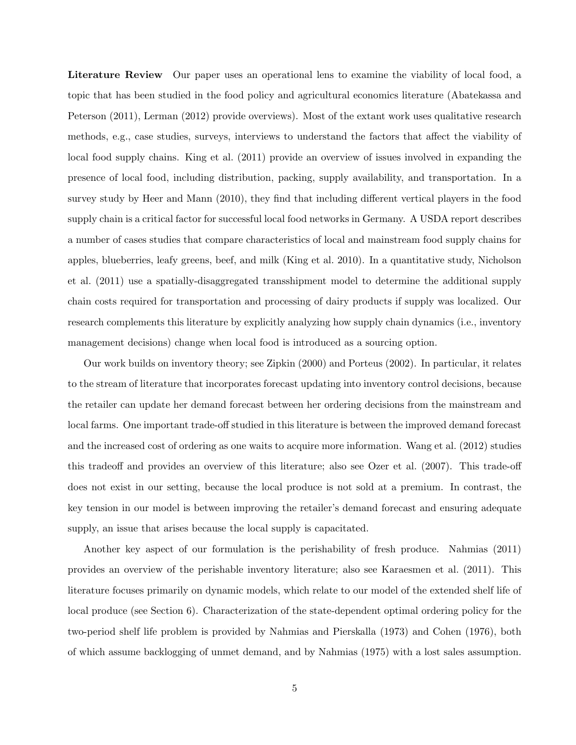Literature Review Our paper uses an operational lens to examine the viability of local food, a topic that has been studied in the food policy and agricultural economics literature (Abatekassa and Peterson (2011), Lerman (2012) provide overviews). Most of the extant work uses qualitative research methods, e.g., case studies, surveys, interviews to understand the factors that affect the viability of local food supply chains. King et al. (2011) provide an overview of issues involved in expanding the presence of local food, including distribution, packing, supply availability, and transportation. In a survey study by Heer and Mann (2010), they find that including different vertical players in the food supply chain is a critical factor for successful local food networks in Germany. A USDA report describes a number of cases studies that compare characteristics of local and mainstream food supply chains for apples, blueberries, leafy greens, beef, and milk (King et al. 2010). In a quantitative study, Nicholson et al. (2011) use a spatially-disaggregated transshipment model to determine the additional supply chain costs required for transportation and processing of dairy products if supply was localized. Our research complements this literature by explicitly analyzing how supply chain dynamics (i.e., inventory management decisions) change when local food is introduced as a sourcing option.

Our work builds on inventory theory; see Zipkin (2000) and Porteus (2002). In particular, it relates to the stream of literature that incorporates forecast updating into inventory control decisions, because the retailer can update her demand forecast between her ordering decisions from the mainstream and local farms. One important trade-off studied in this literature is between the improved demand forecast and the increased cost of ordering as one waits to acquire more information. Wang et al. (2012) studies this tradeoff and provides an overview of this literature; also see Ozer et al. (2007). This trade-off does not exist in our setting, because the local produce is not sold at a premium. In contrast, the key tension in our model is between improving the retailer's demand forecast and ensuring adequate supply, an issue that arises because the local supply is capacitated.

Another key aspect of our formulation is the perishability of fresh produce. Nahmias (2011) provides an overview of the perishable inventory literature; also see Karaesmen et al. (2011). This literature focuses primarily on dynamic models, which relate to our model of the extended shelf life of local produce (see Section 6). Characterization of the state-dependent optimal ordering policy for the two-period shelf life problem is provided by Nahmias and Pierskalla (1973) and Cohen (1976), both of which assume backlogging of unmet demand, and by Nahmias (1975) with a lost sales assumption.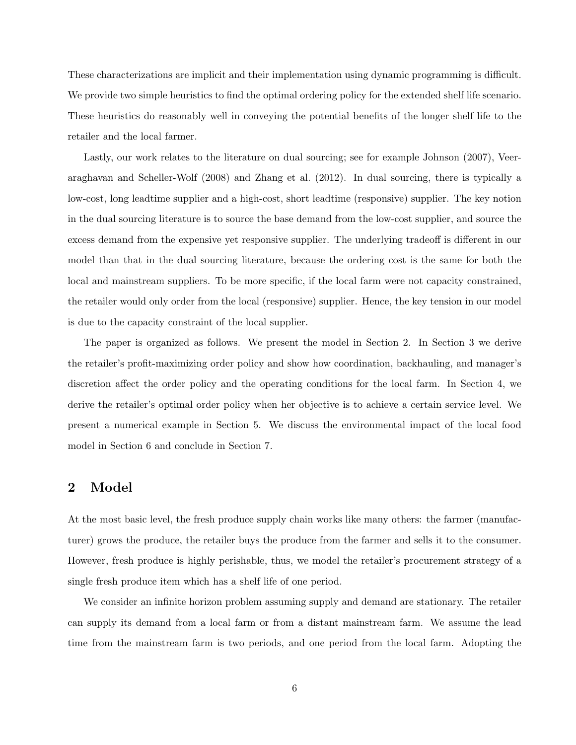These characterizations are implicit and their implementation using dynamic programming is difficult. We provide two simple heuristics to find the optimal ordering policy for the extended shelf life scenario. These heuristics do reasonably well in conveying the potential benefits of the longer shelf life to the retailer and the local farmer.

Lastly, our work relates to the literature on dual sourcing; see for example Johnson (2007), Veeraraghavan and Scheller-Wolf (2008) and Zhang et al. (2012). In dual sourcing, there is typically a low-cost, long leadtime supplier and a high-cost, short leadtime (responsive) supplier. The key notion in the dual sourcing literature is to source the base demand from the low-cost supplier, and source the excess demand from the expensive yet responsive supplier. The underlying tradeoff is different in our model than that in the dual sourcing literature, because the ordering cost is the same for both the local and mainstream suppliers. To be more specific, if the local farm were not capacity constrained, the retailer would only order from the local (responsive) supplier. Hence, the key tension in our model is due to the capacity constraint of the local supplier.

The paper is organized as follows. We present the model in Section 2. In Section 3 we derive the retailer's profit-maximizing order policy and show how coordination, backhauling, and manager's discretion affect the order policy and the operating conditions for the local farm. In Section 4, we derive the retailer's optimal order policy when her objective is to achieve a certain service level. We present a numerical example in Section 5. We discuss the environmental impact of the local food model in Section 6 and conclude in Section 7.

### 2 Model

At the most basic level, the fresh produce supply chain works like many others: the farmer (manufacturer) grows the produce, the retailer buys the produce from the farmer and sells it to the consumer. However, fresh produce is highly perishable, thus, we model the retailer's procurement strategy of a single fresh produce item which has a shelf life of one period.

We consider an infinite horizon problem assuming supply and demand are stationary. The retailer can supply its demand from a local farm or from a distant mainstream farm. We assume the lead time from the mainstream farm is two periods, and one period from the local farm. Adopting the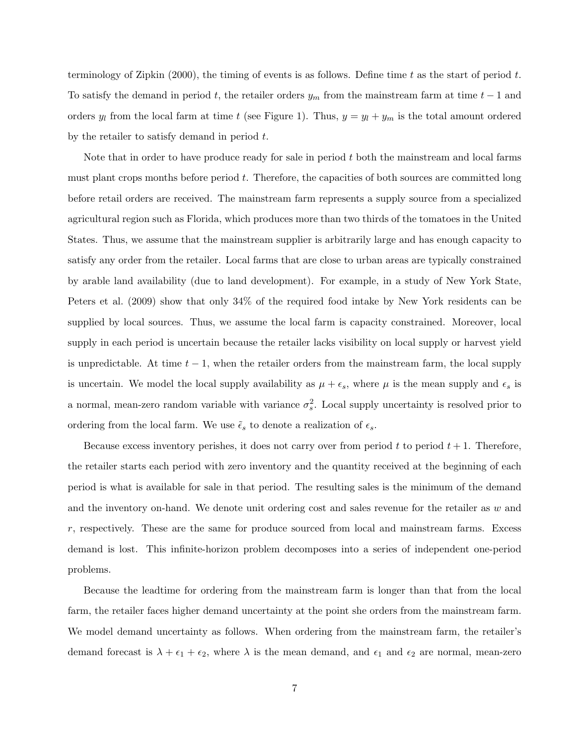terminology of Zipkin (2000), the timing of events is as follows. Define time t as the start of period t. To satisfy the demand in period t, the retailer orders  $y_m$  from the mainstream farm at time  $t-1$  and orders  $y_l$  from the local farm at time t (see Figure 1). Thus,  $y = y_l + y_m$  is the total amount ordered by the retailer to satisfy demand in period  $t$ .

Note that in order to have produce ready for sale in period  $t$  both the mainstream and local farms must plant crops months before period  $t$ . Therefore, the capacities of both sources are committed long before retail orders are received. The mainstream farm represents a supply source from a specialized agricultural region such as Florida, which produces more than two thirds of the tomatoes in the United States. Thus, we assume that the mainstream supplier is arbitrarily large and has enough capacity to satisfy any order from the retailer. Local farms that are close to urban areas are typically constrained by arable land availability (due to land development). For example, in a study of New York State, Peters et al. (2009) show that only 34% of the required food intake by New York residents can be supplied by local sources. Thus, we assume the local farm is capacity constrained. Moreover, local supply in each period is uncertain because the retailer lacks visibility on local supply or harvest yield is unpredictable. At time  $t - 1$ , when the retailer orders from the mainstream farm, the local supply is uncertain. We model the local supply availability as  $\mu + \epsilon_s$ , where  $\mu$  is the mean supply and  $\epsilon_s$  is a normal, mean-zero random variable with variance  $\sigma_s^2$ . Local supply uncertainty is resolved prior to ordering from the local farm. We use  $\tilde{\epsilon}_s$  to denote a realization of  $\epsilon_s$ .

Because excess inventory perishes, it does not carry over from period t to period  $t + 1$ . Therefore, the retailer starts each period with zero inventory and the quantity received at the beginning of each period is what is available for sale in that period. The resulting sales is the minimum of the demand and the inventory on-hand. We denote unit ordering cost and sales revenue for the retailer as  $w$  and  $r$ , respectively. These are the same for produce sourced from local and mainstream farms. Excess demand is lost. This infinite-horizon problem decomposes into a series of independent one-period problems.

Because the leadtime for ordering from the mainstream farm is longer than that from the local farm, the retailer faces higher demand uncertainty at the point she orders from the mainstream farm. We model demand uncertainty as follows. When ordering from the mainstream farm, the retailer's demand forecast is  $\lambda + \epsilon_1 + \epsilon_2$ , where  $\lambda$  is the mean demand, and  $\epsilon_1$  and  $\epsilon_2$  are normal, mean-zero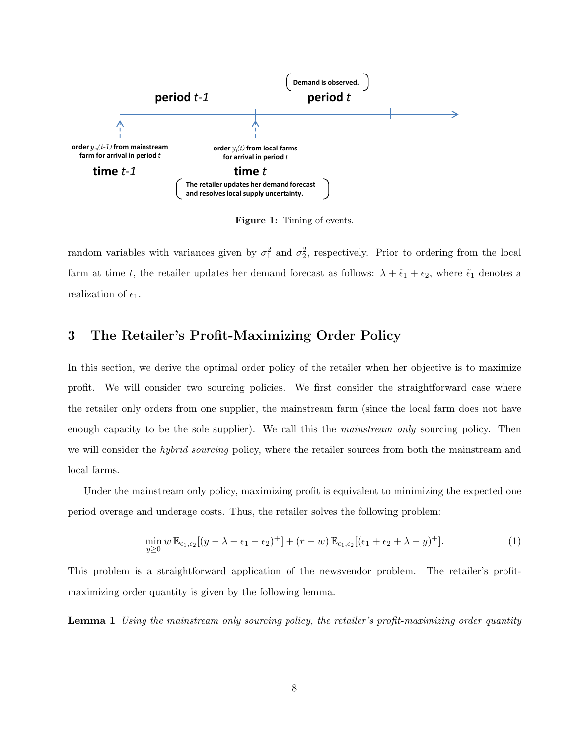

Figure 1: Timing of events.

random variables with variances given by  $\sigma_1^2$  and  $\sigma_2^2$ , respectively. Prior to ordering from the local farm at time t, the retailer updates her demand forecast as follows:  $\lambda + \tilde{\epsilon}_1 + \epsilon_2$ , where  $\tilde{\epsilon}_1$  denotes a realization of  $\epsilon_1$ .

# 3 The Retailer's Profit-Maximizing Order Policy

In this section, we derive the optimal order policy of the retailer when her objective is to maximize profit. We will consider two sourcing policies. We first consider the straightforward case where the retailer only orders from one supplier, the mainstream farm (since the local farm does not have enough capacity to be the sole supplier). We call this the *mainstream only* sourcing policy. Then we will consider the *hybrid sourcing* policy, where the retailer sources from both the mainstream and local farms.

Under the mainstream only policy, maximizing profit is equivalent to minimizing the expected one period overage and underage costs. Thus, the retailer solves the following problem:

$$
\min_{y\geq 0} w \mathbb{E}_{\epsilon_1,\epsilon_2}[(y-\lambda-\epsilon_1-\epsilon_2)^+] + (r-w) \mathbb{E}_{\epsilon_1,\epsilon_2}[(\epsilon_1+\epsilon_2+\lambda-y)^+].
$$
\n(1)

This problem is a straightforward application of the newsvendor problem. The retailer's profitmaximizing order quantity is given by the following lemma.

Lemma 1 Using the mainstream only sourcing policy, the retailer's profit-maximizing order quantity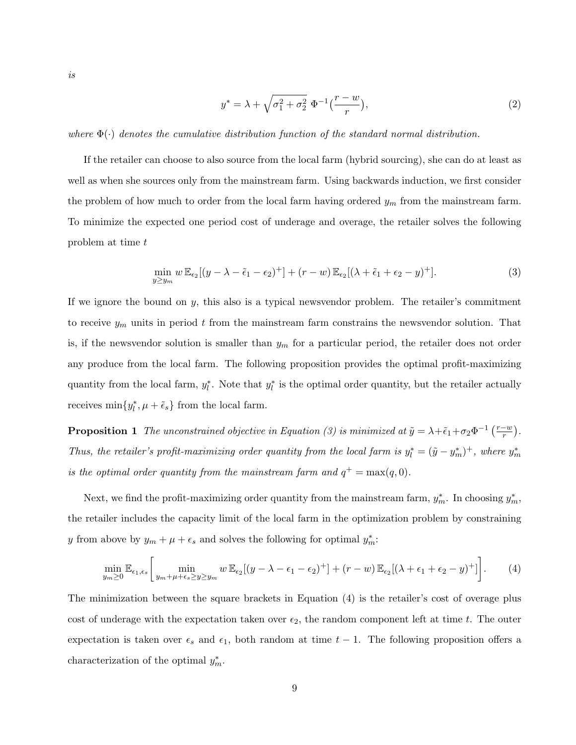is

$$
y^* = \lambda + \sqrt{\sigma_1^2 + \sigma_2^2} \ \Phi^{-1}\left(\frac{r-w}{r}\right),\tag{2}
$$

where  $\Phi(\cdot)$  denotes the cumulative distribution function of the standard normal distribution.

If the retailer can choose to also source from the local farm (hybrid sourcing), she can do at least as well as when she sources only from the mainstream farm. Using backwards induction, we first consider the problem of how much to order from the local farm having ordered  $y_m$  from the mainstream farm. To minimize the expected one period cost of underage and overage, the retailer solves the following problem at time t

$$
\min_{y \ge y_m} w \mathbb{E}_{\epsilon_2}[(y - \lambda - \tilde{\epsilon}_1 - \epsilon_2)^+] + (r - w) \mathbb{E}_{\epsilon_2}[(\lambda + \tilde{\epsilon}_1 + \epsilon_2 - y)^+].
$$
\n(3)

If we ignore the bound on  $y$ , this also is a typical newsvendor problem. The retailer's commitment to receive  $y_m$  units in period t from the mainstream farm constrains the newsvendor solution. That is, if the newsvendor solution is smaller than  $y_m$  for a particular period, the retailer does not order any produce from the local farm. The following proposition provides the optimal profit-maximizing quantity from the local farm,  $y_l^*$ . Note that  $y_l^*$  is the optimal order quantity, but the retailer actually receives  $\min\{y_l^*, \mu + \tilde{\epsilon}_s\}$  from the local farm.

**Proposition 1** The unconstrained objective in Equation (3) is minimized at  $\tilde{y} = \lambda + \tilde{\epsilon}_1 + \sigma_2 \Phi^{-1} \left( \frac{r-w}{r} \right)$  $\frac{-w}{r}$ ). Thus, the retailer's profit-maximizing order quantity from the local farm is  $y_l^* = (\tilde{y} - y_m^*)^+$ , where  $y_m^*$ is the optimal order quantity from the mainstream farm and  $q^+ = \max(q, 0)$ .

Next, we find the profit-maximizing order quantity from the mainstream farm,  $y_m^*$ . In choosing  $y_m^*$ , the retailer includes the capacity limit of the local farm in the optimization problem by constraining y from above by  $y_m + \mu + \epsilon_s$  and solves the following for optimal  $y_m^*$ .

 $\overline{a}$ 

$$
\min_{y_m \ge 0} \mathbb{E}_{\epsilon_1, \epsilon_s} \left[ \min_{y_m + \mu + \epsilon_s \ge y \ge y_m} w \, \mathbb{E}_{\epsilon_2} [(y - \lambda - \epsilon_1 - \epsilon_2)^+] + (r - w) \, \mathbb{E}_{\epsilon_2} [(\lambda + \epsilon_1 + \epsilon_2 - y)^+] \right]. \tag{4}
$$

The minimization between the square brackets in Equation (4) is the retailer's cost of overage plus cost of underage with the expectation taken over  $\epsilon_2$ , the random component left at time t. The outer expectation is taken over  $\epsilon_s$  and  $\epsilon_1$ , both random at time  $t - 1$ . The following proposition offers a characterization of the optimal  $y_m^*$ .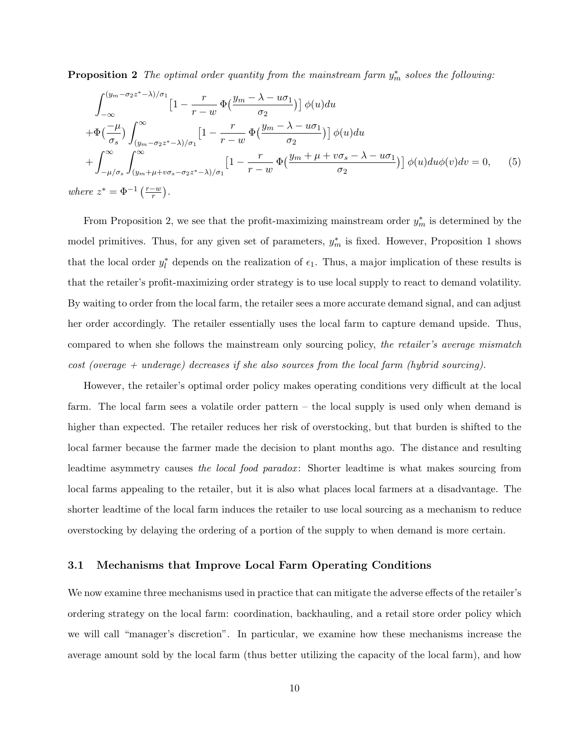**Proposition 2** The optimal order quantity from the mainstream farm  $y_m^*$  solves the following:

$$
\int_{-\infty}^{(y_m - \sigma_2 z^* - \lambda)/\sigma_1} \left[1 - \frac{r}{r - w} \Phi\left(\frac{y_m - \lambda - u\sigma_1}{\sigma_2}\right)\right] \phi(u) du
$$
  
+ 
$$
\Phi\left(\frac{-\mu}{\sigma_s}\right) \int_{(y_m - \sigma_2 z^* - \lambda)/\sigma_1}^{\infty} \left[1 - \frac{r}{r - w} \Phi\left(\frac{y_m - \lambda - u\sigma_1}{\sigma_2}\right)\right] \phi(u) du
$$
  
+ 
$$
\int_{-\mu/\sigma_s}^{\infty} \int_{(y_m + \mu + v\sigma_s - \sigma_2 z^* - \lambda)/\sigma_1}^{\infty} \left[1 - \frac{r}{r - w} \Phi\left(\frac{y_m + \mu + v\sigma_s - \lambda - u\sigma_1}{\sigma_2}\right)\right] \phi(u) du \phi(v) dv = 0, \quad (5)
$$
  
where  $z^* = \Phi^{-1}\left(\frac{r - w}{r}\right).$ 

From Proposition 2, we see that the profit-maximizing mainstream order  $y_m^*$  is determined by the model primitives. Thus, for any given set of parameters,  $y_m^*$  is fixed. However, Proposition 1 shows that the local order  $y_l^*$  depends on the realization of  $\epsilon_1$ . Thus, a major implication of these results is that the retailer's profit-maximizing order strategy is to use local supply to react to demand volatility. By waiting to order from the local farm, the retailer sees a more accurate demand signal, and can adjust her order accordingly. The retailer essentially uses the local farm to capture demand upside. Thus, compared to when she follows the mainstream only sourcing policy, the retailer's average mismatch  $cost$  (overage + underage) decreases if she also sources from the local farm (hybrid sourcing).

However, the retailer's optimal order policy makes operating conditions very difficult at the local farm. The local farm sees a volatile order pattern – the local supply is used only when demand is higher than expected. The retailer reduces her risk of overstocking, but that burden is shifted to the local farmer because the farmer made the decision to plant months ago. The distance and resulting leadtime asymmetry causes the local food paradox: Shorter leadtime is what makes sourcing from local farms appealing to the retailer, but it is also what places local farmers at a disadvantage. The shorter leadtime of the local farm induces the retailer to use local sourcing as a mechanism to reduce overstocking by delaying the ordering of a portion of the supply to when demand is more certain.

### 3.1 Mechanisms that Improve Local Farm Operating Conditions

We now examine three mechanisms used in practice that can mitigate the adverse effects of the retailer's ordering strategy on the local farm: coordination, backhauling, and a retail store order policy which we will call "manager's discretion". In particular, we examine how these mechanisms increase the average amount sold by the local farm (thus better utilizing the capacity of the local farm), and how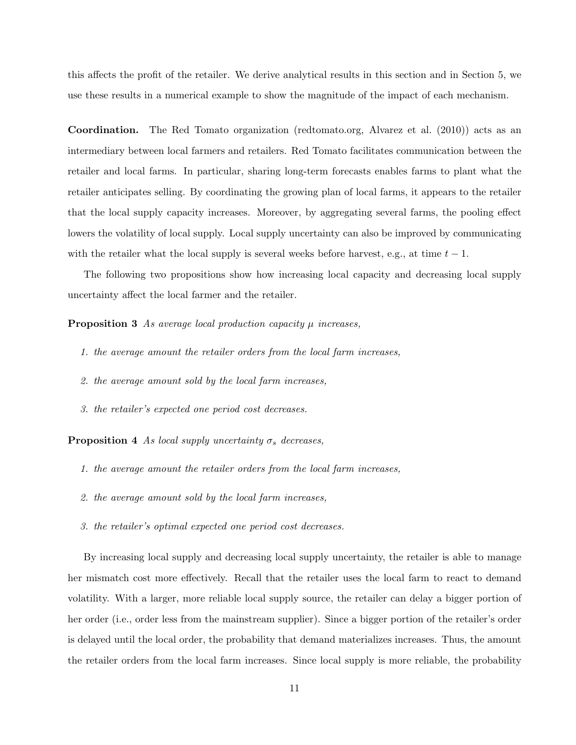this affects the profit of the retailer. We derive analytical results in this section and in Section 5, we use these results in a numerical example to show the magnitude of the impact of each mechanism.

Coordination. The Red Tomato organization (redtomato.org, Alvarez et al. (2010)) acts as an intermediary between local farmers and retailers. Red Tomato facilitates communication between the retailer and local farms. In particular, sharing long-term forecasts enables farms to plant what the retailer anticipates selling. By coordinating the growing plan of local farms, it appears to the retailer that the local supply capacity increases. Moreover, by aggregating several farms, the pooling effect lowers the volatility of local supply. Local supply uncertainty can also be improved by communicating with the retailer what the local supply is several weeks before harvest, e.g., at time  $t-1$ .

The following two propositions show how increasing local capacity and decreasing local supply uncertainty affect the local farmer and the retailer.

**Proposition 3** As average local production capacity  $\mu$  increases,

- 1. the average amount the retailer orders from the local farm increases,
- 2. the average amount sold by the local farm increases,
- 3. the retailer's expected one period cost decreases.

**Proposition 4** As local supply uncertainty  $\sigma_s$  decreases,

- 1. the average amount the retailer orders from the local farm increases,
- 2. the average amount sold by the local farm increases,
- 3. the retailer's optimal expected one period cost decreases.

By increasing local supply and decreasing local supply uncertainty, the retailer is able to manage her mismatch cost more effectively. Recall that the retailer uses the local farm to react to demand volatility. With a larger, more reliable local supply source, the retailer can delay a bigger portion of her order (i.e., order less from the mainstream supplier). Since a bigger portion of the retailer's order is delayed until the local order, the probability that demand materializes increases. Thus, the amount the retailer orders from the local farm increases. Since local supply is more reliable, the probability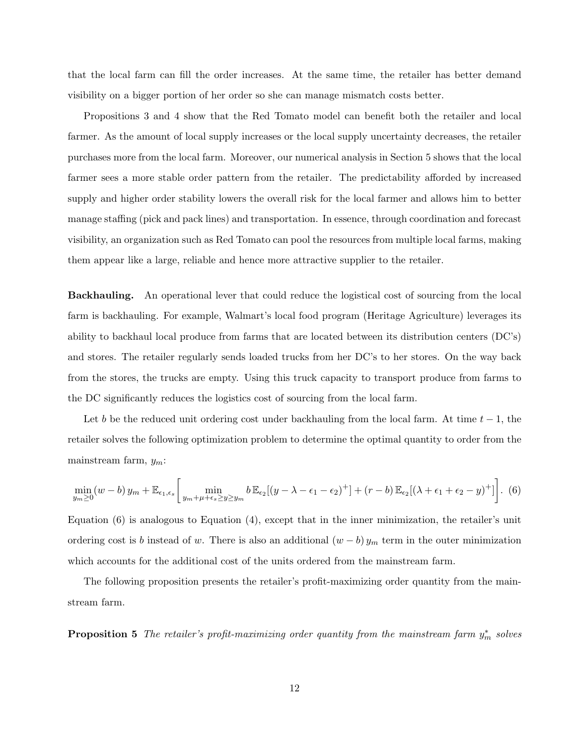that the local farm can fill the order increases. At the same time, the retailer has better demand visibility on a bigger portion of her order so she can manage mismatch costs better.

Propositions 3 and 4 show that the Red Tomato model can benefit both the retailer and local farmer. As the amount of local supply increases or the local supply uncertainty decreases, the retailer purchases more from the local farm. Moreover, our numerical analysis in Section 5 shows that the local farmer sees a more stable order pattern from the retailer. The predictability afforded by increased supply and higher order stability lowers the overall risk for the local farmer and allows him to better manage staffing (pick and pack lines) and transportation. In essence, through coordination and forecast visibility, an organization such as Red Tomato can pool the resources from multiple local farms, making them appear like a large, reliable and hence more attractive supplier to the retailer.

Backhauling. An operational lever that could reduce the logistical cost of sourcing from the local farm is backhauling. For example, Walmart's local food program (Heritage Agriculture) leverages its ability to backhaul local produce from farms that are located between its distribution centers (DC's) and stores. The retailer regularly sends loaded trucks from her DC's to her stores. On the way back from the stores, the trucks are empty. Using this truck capacity to transport produce from farms to the DC significantly reduces the logistics cost of sourcing from the local farm.

Let b be the reduced unit ordering cost under backhauling from the local farm. At time  $t - 1$ , the retailer solves the following optimization problem to determine the optimal quantity to order from the mainstream farm,  $y_m$ :

$$
\min_{y_m \ge 0} (w - b) y_m + \mathbb{E}_{\epsilon_1, \epsilon_s} \left[ \min_{y_m + \mu + \epsilon_s \ge y \ge y_m} b \mathbb{E}_{\epsilon_2} [(y - \lambda - \epsilon_1 - \epsilon_2)^+] + (r - b) \mathbb{E}_{\epsilon_2} [(\lambda + \epsilon_1 + \epsilon_2 - y)^+] \right].
$$
 (6)

Equation (6) is analogous to Equation (4), except that in the inner minimization, the retailer's unit ordering cost is b instead of w. There is also an additional  $(w - b) y_m$  term in the outer minimization which accounts for the additional cost of the units ordered from the mainstream farm.

The following proposition presents the retailer's profit-maximizing order quantity from the mainstream farm.

**Proposition 5** The retailer's profit-maximizing order quantity from the mainstream farm  $y_m^*$  solves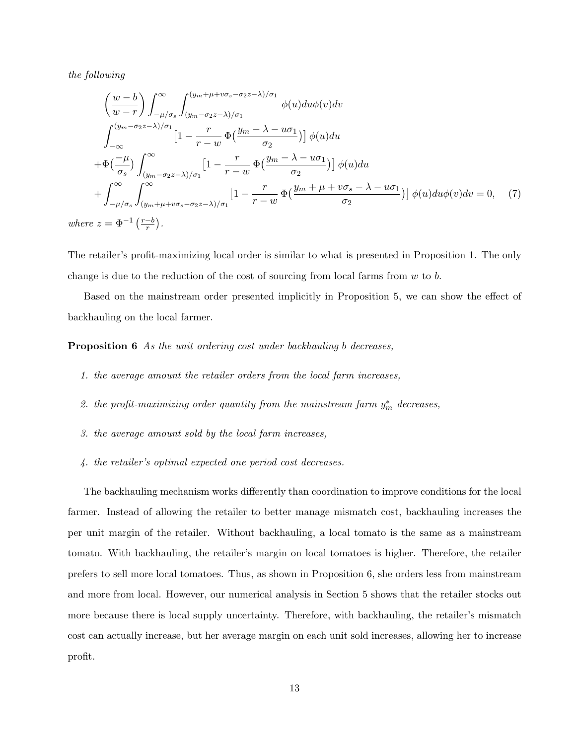the following

$$
\left(\frac{w-b}{w-r}\right) \int_{-\mu/\sigma_s}^{\infty} \int_{(y_m-\sigma_2z-\lambda)/\sigma_1}^{(y_m+\mu+\nu\sigma_s-\sigma_2z-\lambda)/\sigma_1} \phi(u)du\phi(v)dv
$$
\n
$$
\int_{-\infty}^{(y_m-\sigma_2z-\lambda)/\sigma_1} \left[1-\frac{r}{r-w}\Phi\left(\frac{y_m-\lambda-u\sigma_1}{\sigma_2}\right)\right] \phi(u)du
$$
\n
$$
+\Phi\left(\frac{-\mu}{\sigma_s}\right) \int_{(y_m-\sigma_2z-\lambda)/\sigma_1}^{\infty} \left[1-\frac{r}{r-w}\Phi\left(\frac{y_m-\lambda-u\sigma_1}{\sigma_2}\right)\right] \phi(u)du
$$
\n
$$
+\int_{-\mu/\sigma_s}^{\infty} \int_{(y_m+\mu+\nu\sigma_s-\sigma_2z-\lambda)/\sigma_1}^{\infty} \left[1-\frac{r}{r-w}\Phi\left(\frac{y_m+\mu+\nu\sigma_s-\lambda-u\sigma_1}{\sigma_2}\right)\right] \phi(u)du\phi(v)dv = 0, \quad (7)
$$
\nwhere  $z = \Phi^{-1}\left(\frac{r-b}{r}\right)$ .

The retailer's profit-maximizing local order is similar to what is presented in Proposition 1. The only change is due to the reduction of the cost of sourcing from local farms from  $w$  to  $b$ .

Based on the mainstream order presented implicitly in Proposition 5, we can show the effect of backhauling on the local farmer.

### Proposition 6 As the unit ordering cost under backhauling b decreases,

- 1. the average amount the retailer orders from the local farm increases,
- 2. the profit-maximizing order quantity from the mainstream farm  $y_m^*$  decreases,
- 3. the average amount sold by the local farm increases,
- 4. the retailer's optimal expected one period cost decreases.

The backhauling mechanism works differently than coordination to improve conditions for the local farmer. Instead of allowing the retailer to better manage mismatch cost, backhauling increases the per unit margin of the retailer. Without backhauling, a local tomato is the same as a mainstream tomato. With backhauling, the retailer's margin on local tomatoes is higher. Therefore, the retailer prefers to sell more local tomatoes. Thus, as shown in Proposition 6, she orders less from mainstream and more from local. However, our numerical analysis in Section 5 shows that the retailer stocks out more because there is local supply uncertainty. Therefore, with backhauling, the retailer's mismatch cost can actually increase, but her average margin on each unit sold increases, allowing her to increase profit.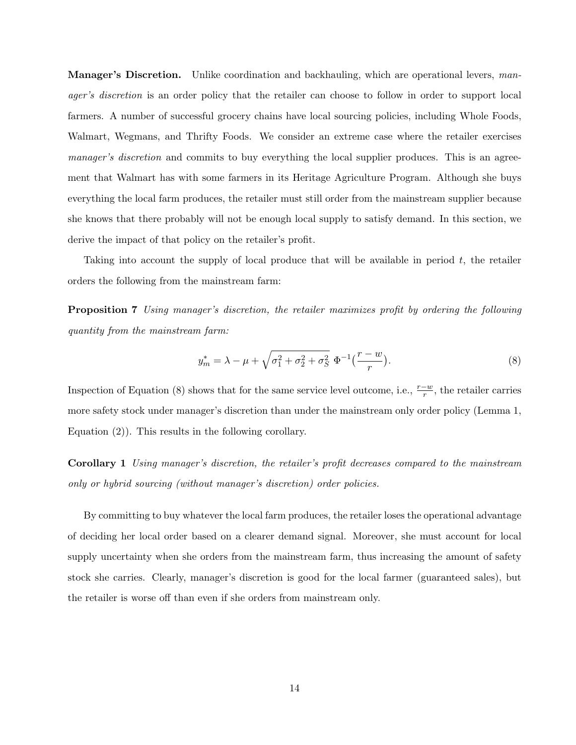**Manager's Discretion.** Unlike coordination and backhauling, which are operational levers, manager's discretion is an order policy that the retailer can choose to follow in order to support local farmers. A number of successful grocery chains have local sourcing policies, including Whole Foods, Walmart, Wegmans, and Thrifty Foods. We consider an extreme case where the retailer exercises manager's discretion and commits to buy everything the local supplier produces. This is an agreement that Walmart has with some farmers in its Heritage Agriculture Program. Although she buys everything the local farm produces, the retailer must still order from the mainstream supplier because she knows that there probably will not be enough local supply to satisfy demand. In this section, we derive the impact of that policy on the retailer's profit.

Taking into account the supply of local produce that will be available in period  $t$ , the retailer orders the following from the mainstream farm:

Proposition 7 Using manager's discretion, the retailer maximizes profit by ordering the following quantity from the mainstream farm:

$$
y_m^* = \lambda - \mu + \sqrt{\sigma_1^2 + \sigma_2^2 + \sigma_S^2} \ \Phi^{-1}(\frac{r - w}{r}). \tag{8}
$$

Inspection of Equation (8) shows that for the same service level outcome, i.e.,  $\frac{r-w}{r}$ , the retailer carries more safety stock under manager's discretion than under the mainstream only order policy (Lemma 1, Equation (2)). This results in the following corollary.

Corollary 1 Using manager's discretion, the retailer's profit decreases compared to the mainstream only or hybrid sourcing (without manager's discretion) order policies.

By committing to buy whatever the local farm produces, the retailer loses the operational advantage of deciding her local order based on a clearer demand signal. Moreover, she must account for local supply uncertainty when she orders from the mainstream farm, thus increasing the amount of safety stock she carries. Clearly, manager's discretion is good for the local farmer (guaranteed sales), but the retailer is worse off than even if she orders from mainstream only.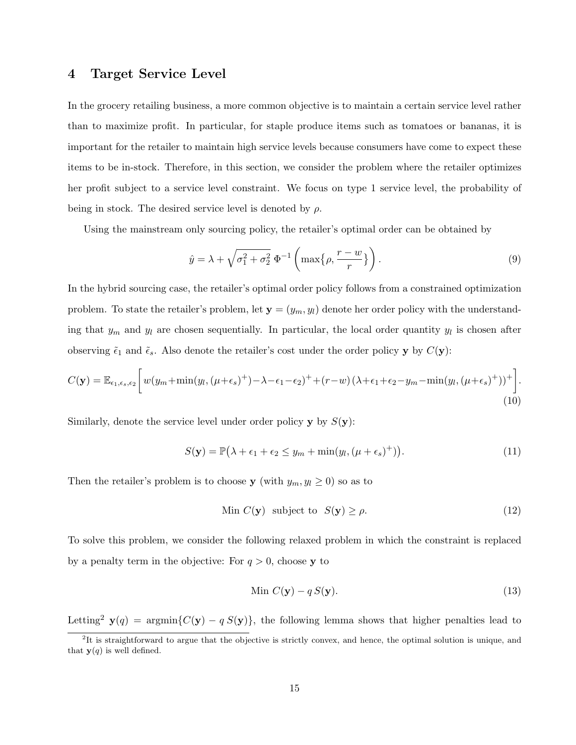### 4 Target Service Level

In the grocery retailing business, a more common objective is to maintain a certain service level rather than to maximize profit. In particular, for staple produce items such as tomatoes or bananas, it is important for the retailer to maintain high service levels because consumers have come to expect these items to be in-stock. Therefore, in this section, we consider the problem where the retailer optimizes her profit subject to a service level constraint. We focus on type 1 service level, the probability of being in stock. The desired service level is denoted by  $\rho$ .

Using the mainstream only sourcing policy, the retailer's optimal order can be obtained by

$$
\hat{y} = \lambda + \sqrt{\sigma_1^2 + \sigma_2^2} \, \Phi^{-1} \left( \max \{ \rho, \frac{r - w}{r} \} \right). \tag{9}
$$

In the hybrid sourcing case, the retailer's optimal order policy follows from a constrained optimization problem. To state the retailer's problem, let  $y = (y_m, y_l)$  denote her order policy with the understanding that  $y_m$  and  $y_l$  are chosen sequentially. In particular, the local order quantity  $y_l$  is chosen after observing  $\tilde{\epsilon}_1$  and  $\tilde{\epsilon}_s$ . Also denote the retailer's cost under the order policy y by  $C(y)$ :

$$
C(\mathbf{y}) = \mathbb{E}_{\epsilon_1,\epsilon_s,\epsilon_2} \left[ w(y_m + \min(y_l, (\mu + \epsilon_s)^+) - \lambda - \epsilon_1 - \epsilon_2)^+ + (r - w)(\lambda + \epsilon_1 + \epsilon_2 - y_m - \min(y_l, (\mu + \epsilon_s)^+))^+ \right].
$$
\n(10)

Similarly, denote the service level under order policy  $\mathbf{y}$  by  $S(\mathbf{y})$ :

$$
S(\mathbf{y}) = \mathbb{P}(\lambda + \epsilon_1 + \epsilon_2 \le y_m + \min(y_l, (\mu + \epsilon_s)^+)).
$$
\n(11)

Then the retailer's problem is to choose **y** (with  $y_m, y_l \ge 0$ ) so as to

$$
\text{Min } C(\mathbf{y}) \quad \text{subject to} \quad S(\mathbf{y}) \ge \rho. \tag{12}
$$

To solve this problem, we consider the following relaxed problem in which the constraint is replaced by a penalty term in the objective: For  $q > 0$ , choose y to

$$
\text{Min } C(\mathbf{y}) - q S(\mathbf{y}).\tag{13}
$$

Letting<sup>2</sup> **y**(q) = argmin{ $C(y) - q S(y)$ }, the following lemma shows that higher penalties lead to

 ${}^{2}$ It is straightforward to argue that the objective is strictly convex, and hence, the optimal solution is unique, and that  $y(q)$  is well defined.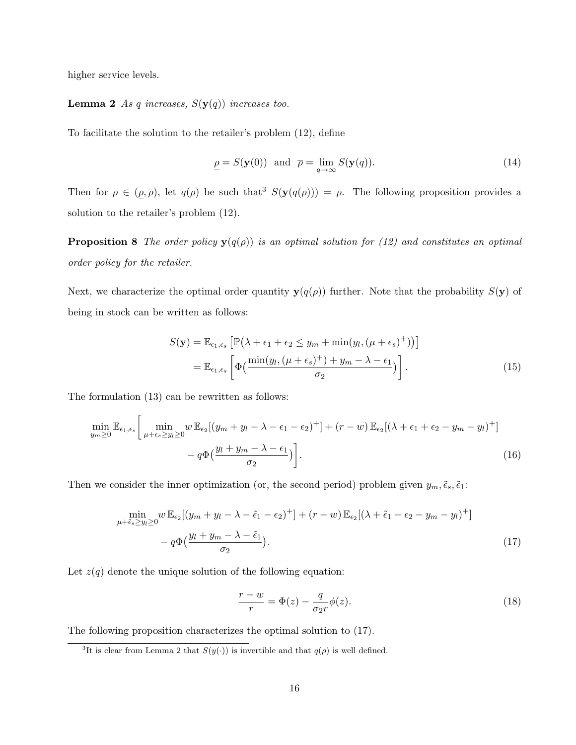higher service levels.

### **Lemma 2** As q increases,  $S(y(q))$  increases too.

To facilitate the solution to the retailer's problem (12), define

$$
\underline{\rho} = S(\mathbf{y}(0)) \text{ and } \overline{\rho} = \lim_{q \to \infty} S(\mathbf{y}(q)). \tag{14}
$$

Then for  $\rho \in (\rho, \overline{\rho})$ , let  $q(\rho)$  be such that<sup>3</sup>  $S(\mathbf{y}(q(\rho))) = \rho$ . The following proposition provides a solution to the retailer's problem (12).

**Proposition 8** The order policy  $y(q(\rho))$  is an optimal solution for (12) and constitutes an optimal order policy for the retailer.

Next, we characterize the optimal order quantity  $y(q(\rho))$  further. Note that the probability  $S(y)$  of being in stock can be written as follows:

$$
S(\mathbf{y}) = \mathbb{E}_{\epsilon_1, \epsilon_s} \left[ \mathbb{P} \left( \lambda + \epsilon_1 + \epsilon_2 \le y_m + \min(y_l, (\mu + \epsilon_s)^+) \right) \right]
$$
  
= 
$$
\mathbb{E}_{\epsilon_1, \epsilon_s} \left[ \Phi \left( \frac{\min(y_l, (\mu + \epsilon_s)^+) + y_m - \lambda - \epsilon_1}{\sigma_2} \right) \right].
$$
 (15)

The formulation (13) can be rewritten as follows:

$$
\min_{y_m \ge 0} \mathbb{E}_{\epsilon_1, \epsilon_s} \left[ \min_{\mu + \epsilon_s \ge y_l \ge 0} w \mathbb{E}_{\epsilon_2} [(y_m + y_l - \lambda - \epsilon_1 - \epsilon_2)^+] + (r - w) \mathbb{E}_{\epsilon_2} [(\lambda + \epsilon_1 + \epsilon_2 - y_m - y_l)^+] - q \Phi \left( \frac{y_l + y_m - \lambda - \epsilon_1}{\sigma_2} \right) \right].
$$
\n(16)

Then we consider the inner optimization (or, the second period) problem given  $y_m, \tilde{\epsilon}_s, \tilde{\epsilon}_1$ :

$$
\min_{\mu+\tilde{\epsilon}_s \ge y_l \ge 0} w \mathbb{E}_{\epsilon_2}[(y_m + y_l - \lambda - \tilde{\epsilon}_1 - \epsilon_2)^+] + (r - w) \mathbb{E}_{\epsilon_2}[(\lambda + \tilde{\epsilon}_1 + \epsilon_2 - y_m - y_l)^+] - q\Phi\left(\frac{y_l + y_m - \lambda - \tilde{\epsilon}_1}{\sigma_2}\right).
$$
\n(17)

Let  $z(q)$  denote the unique solution of the following equation:

$$
\frac{r-w}{r} = \Phi(z) - \frac{q}{\sigma_2 r} \phi(z). \tag{18}
$$

The following proposition characterizes the optimal solution to (17).

<sup>&</sup>lt;sup>3</sup>It is clear from Lemma 2 that  $S(y(\cdot))$  is invertible and that  $q(\rho)$  is well defined.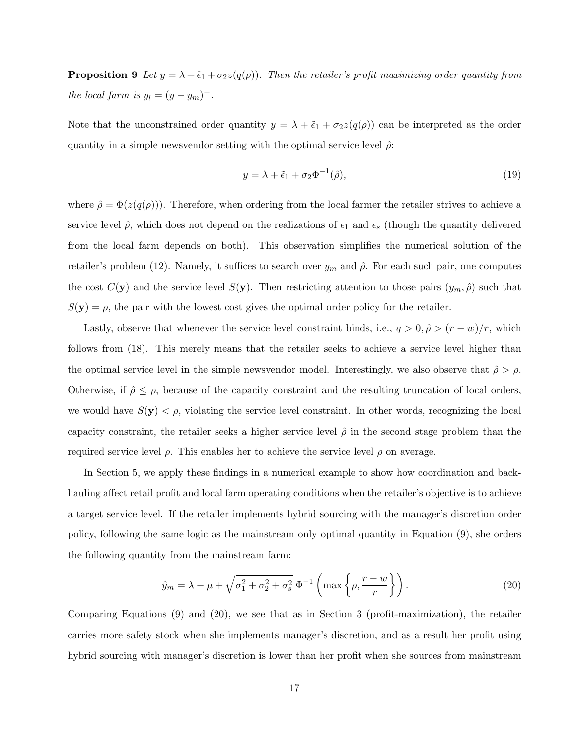**Proposition 9** Let  $y = \lambda + \tilde{\epsilon}_1 + \sigma_2 z(q(\rho))$ . Then the retailer's profit maximizing order quantity from the local farm is  $y_l = (y - y_m)^+$ .

Note that the unconstrained order quantity  $y = \lambda + \tilde{\epsilon}_1 + \sigma_2 z(q(\rho))$  can be interpreted as the order quantity in a simple newsvendor setting with the optimal service level  $\hat{\rho}$ :

$$
y = \lambda + \tilde{\epsilon}_1 + \sigma_2 \Phi^{-1}(\hat{\rho}), \tag{19}
$$

where  $\hat{\rho} = \Phi(z(q(\rho)))$ . Therefore, when ordering from the local farmer the retailer strives to achieve a service level  $\hat{\rho}$ , which does not depend on the realizations of  $\epsilon_1$  and  $\epsilon_s$  (though the quantity delivered from the local farm depends on both). This observation simplifies the numerical solution of the retailer's problem (12). Namely, it suffices to search over  $y_m$  and  $\hat{\rho}$ . For each such pair, one computes the cost  $C(\mathbf{y})$  and the service level  $S(\mathbf{y})$ . Then restricting attention to those pairs  $(y_m, \hat{\rho})$  such that  $S(\mathbf{y}) = \rho$ , the pair with the lowest cost gives the optimal order policy for the retailer.

Lastly, observe that whenever the service level constraint binds, i.e.,  $q > 0$ ,  $\hat{\rho} > (r - w)/r$ , which follows from (18). This merely means that the retailer seeks to achieve a service level higher than the optimal service level in the simple newsvendor model. Interestingly, we also observe that  $\hat{\rho} > \rho$ . Otherwise, if  $\hat{\rho} \leq \rho$ , because of the capacity constraint and the resulting truncation of local orders, we would have  $S(\mathbf{y}) < \rho$ , violating the service level constraint. In other words, recognizing the local capacity constraint, the retailer seeks a higher service level  $\hat{\rho}$  in the second stage problem than the required service level ρ. This enables her to achieve the service level ρ on average.

In Section 5, we apply these findings in a numerical example to show how coordination and backhauling affect retail profit and local farm operating conditions when the retailer's objective is to achieve a target service level. If the retailer implements hybrid sourcing with the manager's discretion order policy, following the same logic as the mainstream only optimal quantity in Equation (9), she orders the following quantity from the mainstream farm:

$$
\hat{y}_m = \lambda - \mu + \sqrt{\sigma_1^2 + \sigma_2^2 + \sigma_s^2} \, \Phi^{-1} \left( \max \left\{ \rho, \frac{r - w}{r} \right\} \right). \tag{20}
$$

Comparing Equations (9) and (20), we see that as in Section 3 (profit-maximization), the retailer carries more safety stock when she implements manager's discretion, and as a result her profit using hybrid sourcing with manager's discretion is lower than her profit when she sources from mainstream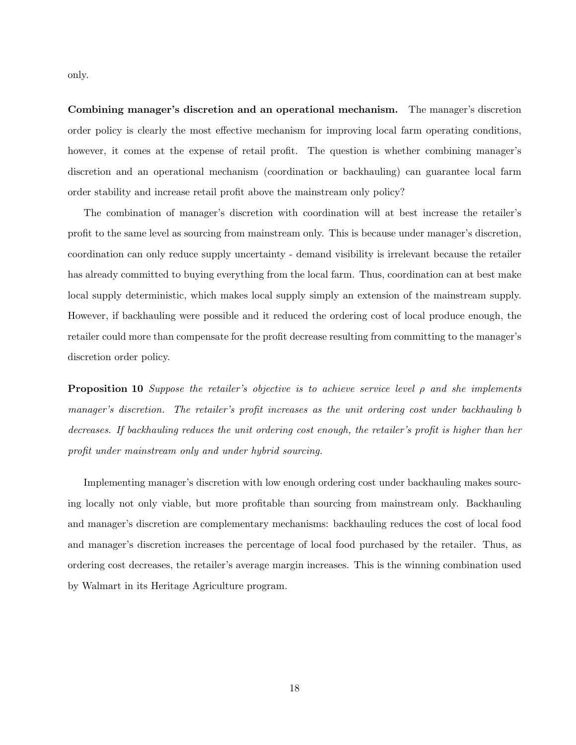only.

Combining manager's discretion and an operational mechanism. The manager's discretion order policy is clearly the most effective mechanism for improving local farm operating conditions, however, it comes at the expense of retail profit. The question is whether combining manager's discretion and an operational mechanism (coordination or backhauling) can guarantee local farm order stability and increase retail profit above the mainstream only policy?

The combination of manager's discretion with coordination will at best increase the retailer's profit to the same level as sourcing from mainstream only. This is because under manager's discretion, coordination can only reduce supply uncertainty - demand visibility is irrelevant because the retailer has already committed to buying everything from the local farm. Thus, coordination can at best make local supply deterministic, which makes local supply simply an extension of the mainstream supply. However, if backhauling were possible and it reduced the ordering cost of local produce enough, the retailer could more than compensate for the profit decrease resulting from committing to the manager's discretion order policy.

**Proposition 10** Suppose the retailer's objective is to achieve service level  $\rho$  and she implements manager's discretion. The retailer's profit increases as the unit ordering cost under backhauling b decreases. If backhauling reduces the unit ordering cost enough, the retailer's profit is higher than her profit under mainstream only and under hybrid sourcing.

Implementing manager's discretion with low enough ordering cost under backhauling makes sourcing locally not only viable, but more profitable than sourcing from mainstream only. Backhauling and manager's discretion are complementary mechanisms: backhauling reduces the cost of local food and manager's discretion increases the percentage of local food purchased by the retailer. Thus, as ordering cost decreases, the retailer's average margin increases. This is the winning combination used by Walmart in its Heritage Agriculture program.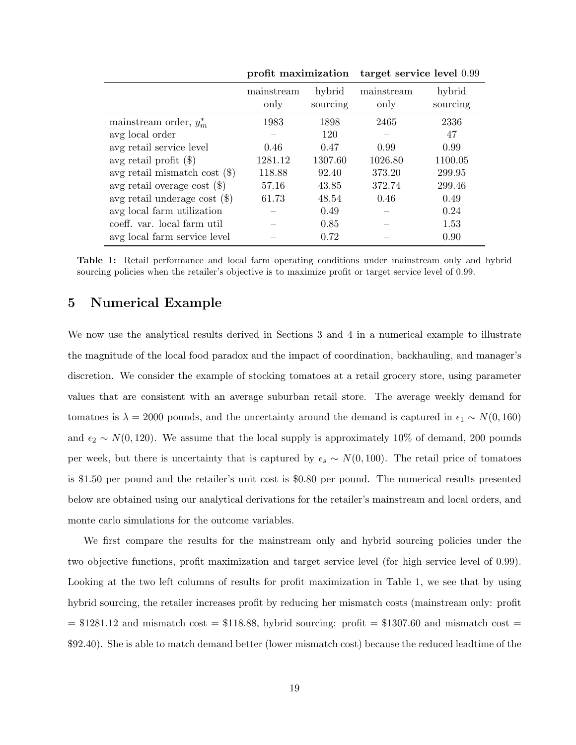|                                 | ргоне шахниі засюп |                    | target service level 0.99 |                    |  |
|---------------------------------|--------------------|--------------------|---------------------------|--------------------|--|
|                                 | mainstream<br>only | hybrid<br>sourcing | mainstream<br>only        | hybrid<br>sourcing |  |
| mainstream order, $y_m^*$       | 1983               | 1898               | 2465                      | 2336               |  |
| avg local order                 |                    | 120                |                           | 47                 |  |
| avg retail service level        | 0.46               | 0.47               | 0.99                      | 0.99               |  |
| avg retail profit $(\$)$        | 1281.12            | 1307.60            | 1026.80                   | 1100.05            |  |
| avg retail mismatch cost $(\$)$ | 118.88             | 92.40              | 373.20                    | 299.95             |  |
| avg retail overage cost $(\$)$  | 57.16              | 43.85              | 372.74                    | 299.46             |  |
| avg retail underage cost $(\$)$ | 61.73              | 48.54              | 0.46                      | 0.49               |  |
| avg local farm utilization      |                    | 0.49               |                           | 0.24               |  |
| coeff. var. local farm util     |                    | 0.85               |                           | 1.53               |  |
| avg local farm service level    |                    | 0.72               |                           | 0.90               |  |

profit maximization target service level 0.99

Table 1: Retail performance and local farm operating conditions under mainstream only and hybrid sourcing policies when the retailer's objective is to maximize profit or target service level of 0.99.

### 5 Numerical Example

We now use the analytical results derived in Sections 3 and 4 in a numerical example to illustrate the magnitude of the local food paradox and the impact of coordination, backhauling, and manager's discretion. We consider the example of stocking tomatoes at a retail grocery store, using parameter values that are consistent with an average suburban retail store. The average weekly demand for tomatoes is  $\lambda = 2000$  pounds, and the uncertainty around the demand is captured in  $\epsilon_1 \sim N(0, 160)$ and  $\epsilon_2 \sim N(0, 120)$ . We assume that the local supply is approximately 10% of demand, 200 pounds per week, but there is uncertainty that is captured by  $\epsilon_s \sim N(0, 100)$ . The retail price of tomatoes is \$1.50 per pound and the retailer's unit cost is \$0.80 per pound. The numerical results presented below are obtained using our analytical derivations for the retailer's mainstream and local orders, and monte carlo simulations for the outcome variables.

We first compare the results for the mainstream only and hybrid sourcing policies under the two objective functions, profit maximization and target service level (for high service level of 0.99). Looking at the two left columns of results for profit maximization in Table 1, we see that by using hybrid sourcing, the retailer increases profit by reducing her mismatch costs (mainstream only: profit  $= $1281.12$  and mismatch cost  $= $118.88$ , hybrid sourcing: profit  $= $1307.60$  and mismatch cost  $=$ \$92.40). She is able to match demand better (lower mismatch cost) because the reduced leadtime of the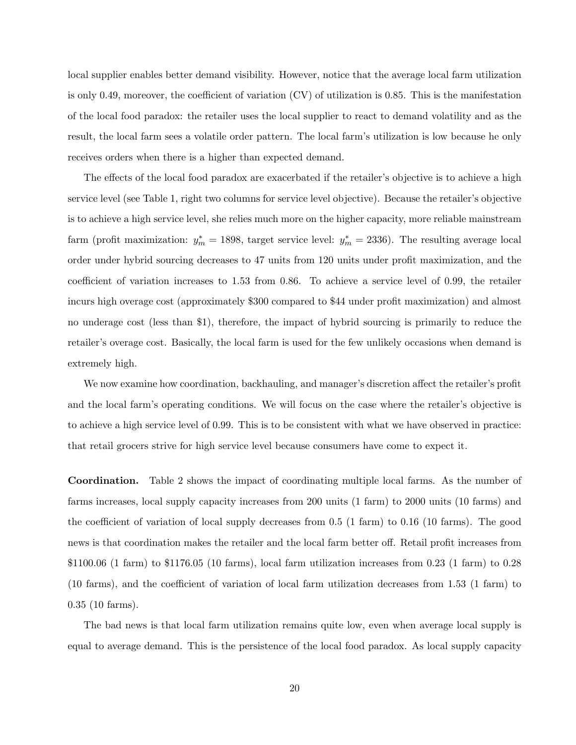local supplier enables better demand visibility. However, notice that the average local farm utilization is only 0.49, moreover, the coefficient of variation (CV) of utilization is 0.85. This is the manifestation of the local food paradox: the retailer uses the local supplier to react to demand volatility and as the result, the local farm sees a volatile order pattern. The local farm's utilization is low because he only receives orders when there is a higher than expected demand.

The effects of the local food paradox are exacerbated if the retailer's objective is to achieve a high service level (see Table 1, right two columns for service level objective). Because the retailer's objective is to achieve a high service level, she relies much more on the higher capacity, more reliable mainstream farm (profit maximization:  $y_m^* = 1898$ , target service level:  $y_m^* = 2336$ ). The resulting average local order under hybrid sourcing decreases to 47 units from 120 units under profit maximization, and the coefficient of variation increases to 1.53 from 0.86. To achieve a service level of 0.99, the retailer incurs high overage cost (approximately \$300 compared to \$44 under profit maximization) and almost no underage cost (less than \$1), therefore, the impact of hybrid sourcing is primarily to reduce the retailer's overage cost. Basically, the local farm is used for the few unlikely occasions when demand is extremely high.

We now examine how coordination, backhauling, and manager's discretion affect the retailer's profit and the local farm's operating conditions. We will focus on the case where the retailer's objective is to achieve a high service level of 0.99. This is to be consistent with what we have observed in practice: that retail grocers strive for high service level because consumers have come to expect it.

Coordination. Table 2 shows the impact of coordinating multiple local farms. As the number of farms increases, local supply capacity increases from 200 units (1 farm) to 2000 units (10 farms) and the coefficient of variation of local supply decreases from 0.5 (1 farm) to 0.16 (10 farms). The good news is that coordination makes the retailer and the local farm better off. Retail profit increases from \$1100.06 (1 farm) to \$1176.05 (10 farms), local farm utilization increases from 0.23 (1 farm) to 0.28 (10 farms), and the coefficient of variation of local farm utilization decreases from 1.53 (1 farm) to 0.35 (10 farms).

The bad news is that local farm utilization remains quite low, even when average local supply is equal to average demand. This is the persistence of the local food paradox. As local supply capacity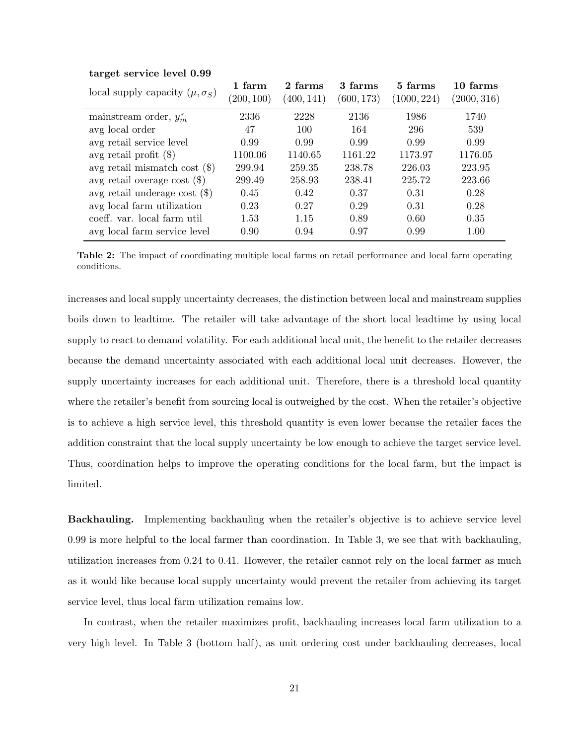| local supply capacity $(\mu, \sigma_S)$ | 1 farm<br>(200, 100) | 2 farms<br>(400, 141) | 3 farms<br>(600, 173) | 5 farms<br>(1000, 224) | 10 farms<br>(2000, 316) |
|-----------------------------------------|----------------------|-----------------------|-----------------------|------------------------|-------------------------|
| mainstream order, $y_m^*$               | 2336                 | 2228                  | 2136                  | 1986                   | 1740                    |
| avg local order                         | 47                   | 100                   | 164                   | 296                    | 539                     |
| avg retail service level                | 0.99                 | 0.99                  | 0.99                  | 0.99                   | 0.99                    |
| avg retail profit $(\$)$                | 1100.06              | 1140.65               | 1161.22               | 1173.97                | 1176.05                 |
| avg retail mismatch cost $(\$)$         | 299.94               | 259.35                | 238.78                | 226.03                 | 223.95                  |
| avg retail overage cost $(\$)$          | 299.49               | 258.93                | 238.41                | 225.72                 | 223.66                  |
| avg retail underage cost $(\$)$         | 0.45                 | 0.42                  | 0.37                  | 0.31                   | 0.28                    |
| avg local farm utilization              | 0.23                 | 0.27                  | 0.29                  | 0.31                   | 0.28                    |
| coeff. var. local farm util             | 1.53                 | 1.15                  | 0.89                  | 0.60                   | 0.35                    |
| avg local farm service level            | 0.90                 | 0.94                  | 0.97                  | 0.99                   | 1.00                    |

#### target service level 0.99

Table 2: The impact of coordinating multiple local farms on retail performance and local farm operating conditions.

increases and local supply uncertainty decreases, the distinction between local and mainstream supplies boils down to leadtime. The retailer will take advantage of the short local leadtime by using local supply to react to demand volatility. For each additional local unit, the benefit to the retailer decreases because the demand uncertainty associated with each additional local unit decreases. However, the supply uncertainty increases for each additional unit. Therefore, there is a threshold local quantity where the retailer's benefit from sourcing local is outweighed by the cost. When the retailer's objective is to achieve a high service level, this threshold quantity is even lower because the retailer faces the addition constraint that the local supply uncertainty be low enough to achieve the target service level. Thus, coordination helps to improve the operating conditions for the local farm, but the impact is limited.

Backhauling. Implementing backhauling when the retailer's objective is to achieve service level 0.99 is more helpful to the local farmer than coordination. In Table 3, we see that with backhauling, utilization increases from 0.24 to 0.41. However, the retailer cannot rely on the local farmer as much as it would like because local supply uncertainty would prevent the retailer from achieving its target service level, thus local farm utilization remains low.

In contrast, when the retailer maximizes profit, backhauling increases local farm utilization to a very high level. In Table 3 (bottom half), as unit ordering cost under backhauling decreases, local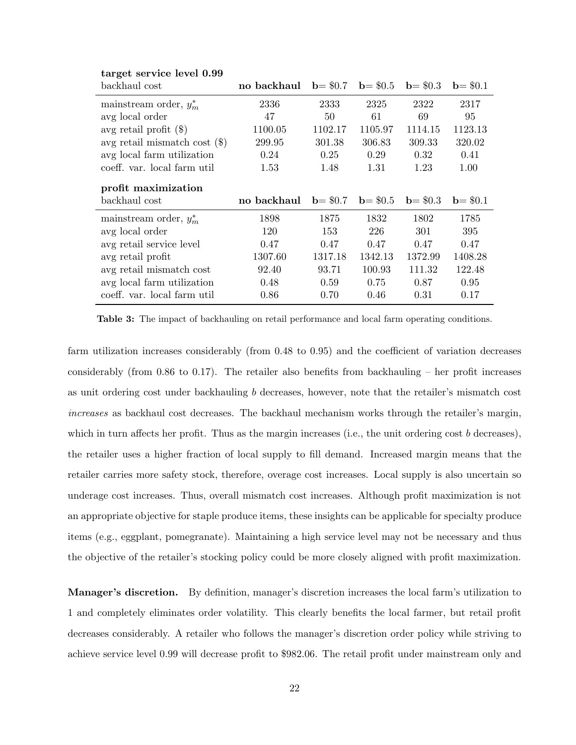| backhaul cost                   | no backhaul | $b = $0.7$ | $b = $0.5$            | $b = $0.3$ | $b = $0.1$ |
|---------------------------------|-------------|------------|-----------------------|------------|------------|
| mainstream order, $y_m^*$       | 2336        | 2333       | 2325                  | 2322       | 2317       |
| avg local order                 | 47          | 50         | 61                    | 69         | 95         |
| avg retail profit $(\$)$        | 1100.05     | 1102.17    | 1105.97               | 1114.15    | 1123.13    |
| avg retail mismatch cost $(\$)$ | 299.95      | 301.38     | 306.83                | 309.33     | 320.02     |
| avg local farm utilization      | 0.24        | 0.25       | 0.29                  | 0.32       | 0.41       |
| coeff. var. local farm util     | 1.53        | 1.48       | 1.31                  | 1.23       | 1.00       |
| profit maximization             |             |            |                       |            |            |
|                                 |             |            |                       |            |            |
| backhaul cost                   | no backhaul |            | $b = $0.7$ $b = $0.5$ | $b = $0.3$ | $b = $0.1$ |
| mainstream order, $y_m^*$       | 1898        | 1875       | 1832                  | 1802       | 1785       |
| avg local order                 | 120         | 153        | 226                   | 301        | 395        |
| avg retail service level        | 0.47        | 0.47       | 0.47                  | 0.47       | 0.47       |
| avg retail profit               | 1307.60     | 1317.18    | 1342.13               | 1372.99    | 1408.28    |
| avg retail mismatch cost        | 92.40       | 93.71      | 100.93                | 111.32     | 122.48     |
| avg local farm utilization      | 0.48        | 0.59       | 0.75                  | 0.87       | 0.95       |

#### target service level 0.99

Table 3: The impact of backhauling on retail performance and local farm operating conditions.

farm utilization increases considerably (from 0.48 to 0.95) and the coefficient of variation decreases considerably (from 0.86 to 0.17). The retailer also benefits from backhauling – her profit increases as unit ordering cost under backhauling b decreases, however, note that the retailer's mismatch cost increases as backhaul cost decreases. The backhaul mechanism works through the retailer's margin, which in turn affects her profit. Thus as the margin increases (i.e., the unit ordering cost  $b$  decreases), the retailer uses a higher fraction of local supply to fill demand. Increased margin means that the retailer carries more safety stock, therefore, overage cost increases. Local supply is also uncertain so underage cost increases. Thus, overall mismatch cost increases. Although profit maximization is not an appropriate objective for staple produce items, these insights can be applicable for specialty produce items (e.g., eggplant, pomegranate). Maintaining a high service level may not be necessary and thus the objective of the retailer's stocking policy could be more closely aligned with profit maximization.

Manager's discretion. By definition, manager's discretion increases the local farm's utilization to 1 and completely eliminates order volatility. This clearly benefits the local farmer, but retail profit decreases considerably. A retailer who follows the manager's discretion order policy while striving to achieve service level 0.99 will decrease profit to \$982.06. The retail profit under mainstream only and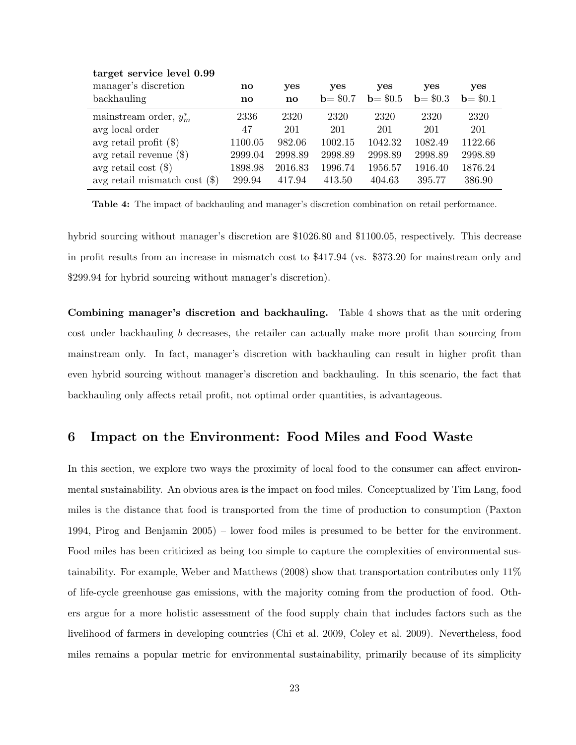| $\frac{1}{2}$ $\frac{1}{2}$ $\frac{1}{2}$ $\frac{1}{2}$ $\frac{1}{2}$ $\frac{1}{2}$ $\frac{1}{2}$ $\frac{1}{2}$ $\frac{1}{2}$ $\frac{1}{2}$ $\frac{1}{2}$ $\frac{1}{2}$ |                        |         |            |            |            |            |
|-------------------------------------------------------------------------------------------------------------------------------------------------------------------------|------------------------|---------|------------|------------|------------|------------|
| manager's discretion                                                                                                                                                    | $\mathbf{n}\mathbf{o}$ | yes     | <b>ves</b> | yes        | <b>ves</b> | yes        |
| backhauling                                                                                                                                                             | $\mathbf{n}\mathbf{o}$ | no      | $b = $0.7$ | $b = $0.5$ | $b = $0.3$ | $b = $0.1$ |
| mainstream order, $y_m^*$                                                                                                                                               | 2336                   | 2320    | 2320       | 2320       | 2320       | 2320       |
| avg local order                                                                                                                                                         | 47                     | 201     | 201        | 201        | 201        | 201        |
| avg retail profit $(\$)$                                                                                                                                                | 1100.05                | 982.06  | 1002.15    | 1042.32    | 1082.49    | 1122.66    |
| avg retail revenue $(\$)$                                                                                                                                               | 2999.04                | 2998.89 | 2998.89    | 2998.89    | 2998.89    | 2998.89    |
| avg retail cost $(\$)$                                                                                                                                                  | 1898.98                | 2016.83 | 1996.74    | 1956.57    | 1916.40    | 1876.24    |
| avg retail mismatch cost $(\$)$                                                                                                                                         | 299.94                 | 417.94  | 413.50     | 404.63     | 395.77     | 386.90     |
|                                                                                                                                                                         |                        |         |            |            |            |            |

### target service level 0.99

Table 4: The impact of backhauling and manager's discretion combination on retail performance.

hybrid sourcing without manager's discretion are \$1026.80 and \$1100.05, respectively. This decrease in profit results from an increase in mismatch cost to \$417.94 (vs. \$373.20 for mainstream only and \$299.94 for hybrid sourcing without manager's discretion).

Combining manager's discretion and backhauling. Table 4 shows that as the unit ordering cost under backhauling b decreases, the retailer can actually make more profit than sourcing from mainstream only. In fact, manager's discretion with backhauling can result in higher profit than even hybrid sourcing without manager's discretion and backhauling. In this scenario, the fact that backhauling only affects retail profit, not optimal order quantities, is advantageous.

### 6 Impact on the Environment: Food Miles and Food Waste

In this section, we explore two ways the proximity of local food to the consumer can affect environmental sustainability. An obvious area is the impact on food miles. Conceptualized by Tim Lang, food miles is the distance that food is transported from the time of production to consumption (Paxton 1994, Pirog and Benjamin 2005) – lower food miles is presumed to be better for the environment. Food miles has been criticized as being too simple to capture the complexities of environmental sustainability. For example, Weber and Matthews (2008) show that transportation contributes only 11% of life-cycle greenhouse gas emissions, with the majority coming from the production of food. Others argue for a more holistic assessment of the food supply chain that includes factors such as the livelihood of farmers in developing countries (Chi et al. 2009, Coley et al. 2009). Nevertheless, food miles remains a popular metric for environmental sustainability, primarily because of its simplicity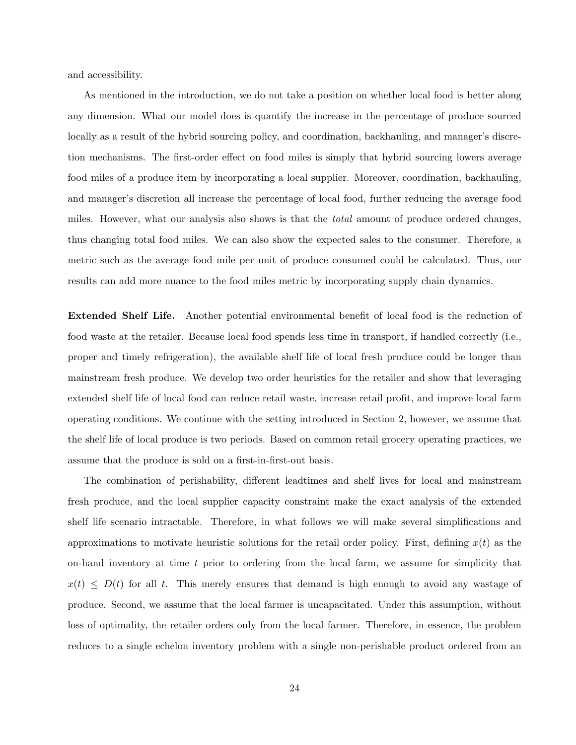and accessibility.

As mentioned in the introduction, we do not take a position on whether local food is better along any dimension. What our model does is quantify the increase in the percentage of produce sourced locally as a result of the hybrid sourcing policy, and coordination, backhauling, and manager's discretion mechanisms. The first-order effect on food miles is simply that hybrid sourcing lowers average food miles of a produce item by incorporating a local supplier. Moreover, coordination, backhauling, and manager's discretion all increase the percentage of local food, further reducing the average food miles. However, what our analysis also shows is that the *total* amount of produce ordered changes, thus changing total food miles. We can also show the expected sales to the consumer. Therefore, a metric such as the average food mile per unit of produce consumed could be calculated. Thus, our results can add more nuance to the food miles metric by incorporating supply chain dynamics.

Extended Shelf Life. Another potential environmental benefit of local food is the reduction of food waste at the retailer. Because local food spends less time in transport, if handled correctly (i.e., proper and timely refrigeration), the available shelf life of local fresh produce could be longer than mainstream fresh produce. We develop two order heuristics for the retailer and show that leveraging extended shelf life of local food can reduce retail waste, increase retail profit, and improve local farm operating conditions. We continue with the setting introduced in Section 2, however, we assume that the shelf life of local produce is two periods. Based on common retail grocery operating practices, we assume that the produce is sold on a first-in-first-out basis.

The combination of perishability, different leadtimes and shelf lives for local and mainstream fresh produce, and the local supplier capacity constraint make the exact analysis of the extended shelf life scenario intractable. Therefore, in what follows we will make several simplifications and approximations to motivate heuristic solutions for the retail order policy. First, defining  $x(t)$  as the on-hand inventory at time  $t$  prior to ordering from the local farm, we assume for simplicity that  $x(t) \leq D(t)$  for all t. This merely ensures that demand is high enough to avoid any wastage of produce. Second, we assume that the local farmer is uncapacitated. Under this assumption, without loss of optimality, the retailer orders only from the local farmer. Therefore, in essence, the problem reduces to a single echelon inventory problem with a single non-perishable product ordered from an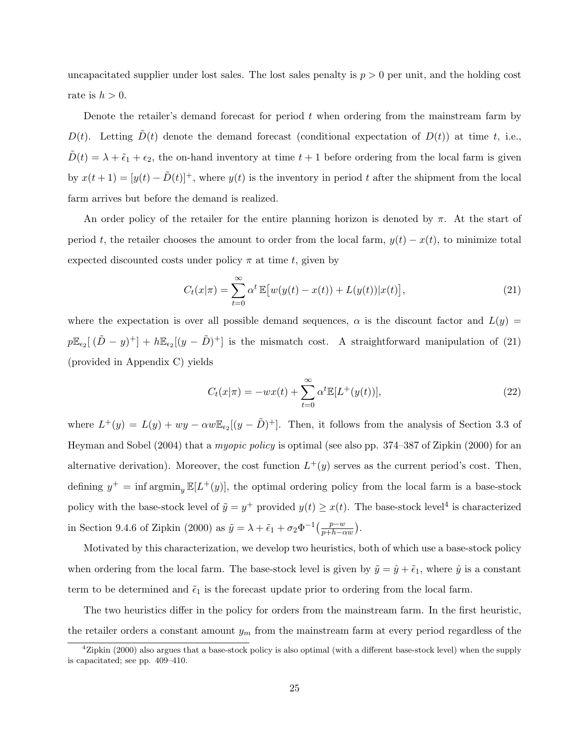uncapacitated supplier under lost sales. The lost sales penalty is  $p > 0$  per unit, and the holding cost rate is  $h > 0$ .

Denote the retailer's demand forecast for period  $t$  when ordering from the mainstream farm by  $D(t)$ . Letting  $D(t)$  denote the demand forecast (conditional expectation of  $D(t)$ ) at time t, i.e.,  $\tilde{D}(t) = \lambda + \tilde{\epsilon}_1 + \epsilon_2$ , the on-hand inventory at time  $t + 1$  before ordering from the local farm is given by  $x(t + 1) = [y(t) - \tilde{D}(t)]^+$ , where  $y(t)$  is the inventory in period t after the shipment from the local farm arrives but before the demand is realized.

An order policy of the retailer for the entire planning horizon is denoted by  $\pi$ . At the start of period t, the retailer chooses the amount to order from the local farm,  $y(t) - x(t)$ , to minimize total expected discounted costs under policy  $\pi$  at time t, given by

$$
C_t(x|\pi) = \sum_{t=0}^{\infty} \alpha^t \mathbb{E} \big[ w(y(t) - x(t)) + L(y(t)) |x(t) \big], \tag{21}
$$

where the expectation is over all possible demand sequences,  $\alpha$  is the discount factor and  $L(y)$  =  $p\mathbb{E}_{\epsilon_2}[(\tilde{D}-y)^+] + h\mathbb{E}_{\epsilon_2}[(y-\tilde{D})^+]$  is the mismatch cost. A straightforward manipulation of (21) (provided in Appendix C) yields

$$
C_t(x|\pi) = -wx(t) + \sum_{t=0}^{\infty} \alpha^t \mathbb{E}[L^+(y(t))],
$$
\n(22)

where  $L^+(y) = L(y) + wy - \alpha w \mathbb{E}_{\epsilon_2}[(y-\tilde{D})^+]$ . Then, it follows from the analysis of Section 3.3 of Heyman and Sobel (2004) that a myopic policy is optimal (see also pp. 374–387 of Zipkin (2000) for an alternative derivation). Moreover, the cost function  $L^+(y)$  serves as the current period's cost. Then, defining  $y^+$  = inf argmin<sub>y</sub>  $\mathbb{E}[L^+(y)]$ , the optimal ordering policy from the local farm is a base-stock policy with the base-stock level of  $\tilde{y} = y^+$  provided  $y(t) \geq x(t)$ . The base-stock level<sup>4</sup> is characterized in Section 9.4.6 of Zipkin (2000) as  $\tilde{y} = \lambda + \tilde{\epsilon}_1 + \sigma_2 \Phi^{-1} \left( \frac{p - w}{p + h - \alpha w} \right)$ .

Motivated by this characterization, we develop two heuristics, both of which use a base-stock policy when ordering from the local farm. The base-stock level is given by  $\tilde{y} = \hat{y} + \tilde{\epsilon}_1$ , where  $\hat{y}$  is a constant term to be determined and  $\tilde{\epsilon}_1$  is the forecast update prior to ordering from the local farm.

The two heuristics differ in the policy for orders from the mainstream farm. In the first heuristic, the retailer orders a constant amount  $y_m$  from the mainstream farm at every period regardless of the

 $4Zipkin$  (2000) also argues that a base-stock policy is also optimal (with a different base-stock level) when the supply is capacitated; see pp. 409–410.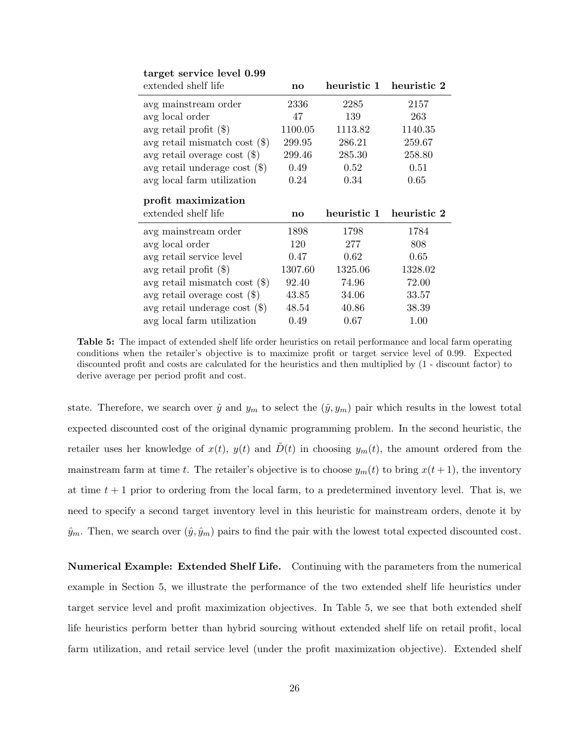| extended shelf life             | $\mathbf{n}\mathbf{o}$ | heuristic 1             | heuristic 2 |
|---------------------------------|------------------------|-------------------------|-------------|
| avg mainstream order            | 2336                   | 2285                    | 2157        |
| avg local order                 | 47                     | 139                     | 263         |
| avg retail profit $(\$)$        | 1100.05                | 1113.82                 | 1140.35     |
| avg retail mismatch cost $(\$)$ | 299.95                 | 286.21                  | 259.67      |
| avg retail overage cost $(\$)$  | 299.46                 | 285.30                  | 258.80      |
| avg retail underage cost $(\$)$ | 0.49                   | 0.52                    | 0.51        |
| avg local farm utilization      | 0.24                   | 0.34                    | 0.65        |
| profit maximization             |                        |                         |             |
| extended shelf life             | $\mathbf{no}$          | heuristic 1 heuristic 2 |             |
| avg mainstream order            | 1898                   | 1798                    | 1784        |
| avg local order                 | 120                    | 277                     | 808         |
| avg retail service level        | 0.47                   | 0.62                    | 0.65        |
| avg retail profit $(\$)$        | 1307.60                | 1325.06                 | 1328.02     |
| avg retail mismatch cost $(\$)$ | 92.40                  | 74.96                   | 72.00       |
| avg retail overage cost $(\$)$  | 43.85                  | 34.06                   | 33.57       |
| avg retail underage cost $(\$)$ | 48.54                  | 40.86                   | 38.39       |

target service level 0.99

Table 5: The impact of extended shelf life order heuristics on retail performance and local farm operating conditions when the retailer's objective is to maximize profit or target service level of 0.99. Expected discounted profit and costs are calculated for the heuristics and then multiplied by (1 - discount factor) to derive average per period profit and cost.

state. Therefore, we search over  $\hat{y}$  and  $y_m$  to select the  $(\hat{y}, y_m)$  pair which results in the lowest total expected discounted cost of the original dynamic programming problem. In the second heuristic, the retailer uses her knowledge of  $x(t)$ ,  $y(t)$  and  $\tilde{D}(t)$  in choosing  $y_m(t)$ , the amount ordered from the mainstream farm at time t. The retailer's objective is to choose  $y_m(t)$  to bring  $x(t+1)$ , the inventory at time  $t + 1$  prior to ordering from the local farm, to a predetermined inventory level. That is, we need to specify a second target inventory level in this heuristic for mainstream orders, denote it by  $\hat{y}_m$ . Then, we search over  $(\hat{y}, \hat{y}_m)$  pairs to find the pair with the lowest total expected discounted cost.

Numerical Example: Extended Shelf Life. Continuing with the parameters from the numerical example in Section 5, we illustrate the performance of the two extended shelf life heuristics under target service level and profit maximization objectives. In Table 5, we see that both extended shelf life heuristics perform better than hybrid sourcing without extended shelf life on retail profit, local farm utilization, and retail service level (under the profit maximization objective). Extended shelf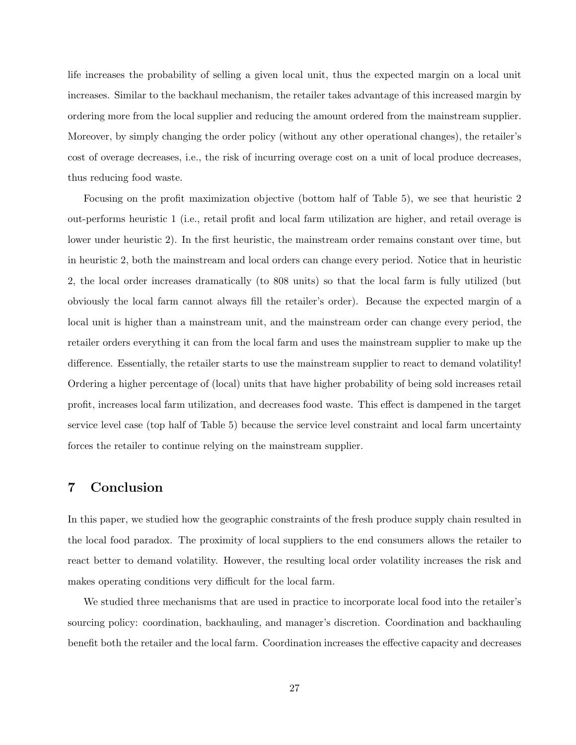life increases the probability of selling a given local unit, thus the expected margin on a local unit increases. Similar to the backhaul mechanism, the retailer takes advantage of this increased margin by ordering more from the local supplier and reducing the amount ordered from the mainstream supplier. Moreover, by simply changing the order policy (without any other operational changes), the retailer's cost of overage decreases, i.e., the risk of incurring overage cost on a unit of local produce decreases, thus reducing food waste.

Focusing on the profit maximization objective (bottom half of Table 5), we see that heuristic 2 out-performs heuristic 1 (i.e., retail profit and local farm utilization are higher, and retail overage is lower under heuristic 2). In the first heuristic, the mainstream order remains constant over time, but in heuristic 2, both the mainstream and local orders can change every period. Notice that in heuristic 2, the local order increases dramatically (to 808 units) so that the local farm is fully utilized (but obviously the local farm cannot always fill the retailer's order). Because the expected margin of a local unit is higher than a mainstream unit, and the mainstream order can change every period, the retailer orders everything it can from the local farm and uses the mainstream supplier to make up the difference. Essentially, the retailer starts to use the mainstream supplier to react to demand volatility! Ordering a higher percentage of (local) units that have higher probability of being sold increases retail profit, increases local farm utilization, and decreases food waste. This effect is dampened in the target service level case (top half of Table 5) because the service level constraint and local farm uncertainty forces the retailer to continue relying on the mainstream supplier.

# 7 Conclusion

In this paper, we studied how the geographic constraints of the fresh produce supply chain resulted in the local food paradox. The proximity of local suppliers to the end consumers allows the retailer to react better to demand volatility. However, the resulting local order volatility increases the risk and makes operating conditions very difficult for the local farm.

We studied three mechanisms that are used in practice to incorporate local food into the retailer's sourcing policy: coordination, backhauling, and manager's discretion. Coordination and backhauling benefit both the retailer and the local farm. Coordination increases the effective capacity and decreases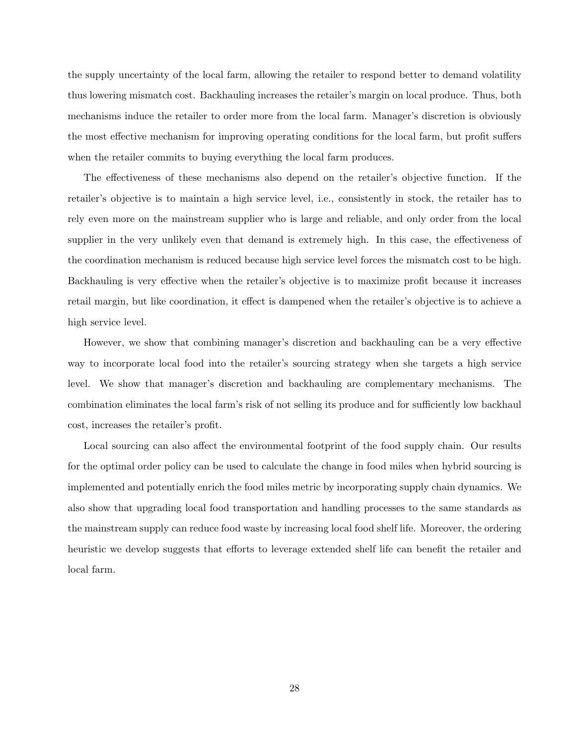the supply uncertainty of the local farm, allowing the retailer to respond better to demand volatility thus lowering mismatch cost. Backhauling increases the retailer's margin on local produce. Thus, both mechanisms induce the retailer to order more from the local farm. Manager's discretion is obviously the most effective mechanism for improving operating conditions for the local farm, but profit suffers when the retailer commits to buying everything the local farm produces.

The effectiveness of these mechanisms also depend on the retailer's objective function. If the retailer's objective is to maintain a high service level, i.e., consistently in stock, the retailer has to rely even more on the mainstream supplier who is large and reliable, and only order from the local supplier in the very unlikely even that demand is extremely high. In this case, the effectiveness of the coordination mechanism is reduced because high service level forces the mismatch cost to be high. Backhauling is very effective when the retailer's objective is to maximize profit because it increases retail margin, but like coordination, it effect is dampened when the retailer's objective is to achieve a high service level.

However, we show that combining manager's discretion and backhauling can be a very effective way to incorporate local food into the retailer's sourcing strategy when she targets a high service level. We show that manager's discretion and backhauling are complementary mechanisms. The combination eliminates the local farm's risk of not selling its produce and for sufficiently low backhaul cost, increases the retailer's profit.

Local sourcing can also affect the environmental footprint of the food supply chain. Our results for the optimal order policy can be used to calculate the change in food miles when hybrid sourcing is implemented and potentially enrich the food miles metric by incorporating supply chain dynamics. We also show that upgrading local food transportation and handling processes to the same standards as the mainstream supply can reduce food waste by increasing local food shelf life. Moreover, the ordering heuristic we develop suggests that efforts to leverage extended shelf life can benefit the retailer and local farm.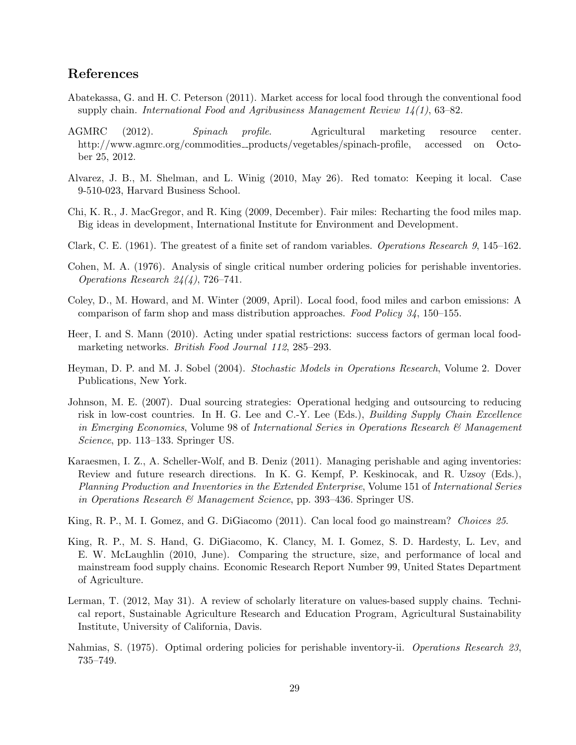# References

- Abatekassa, G. and H. C. Peterson (2011). Market access for local food through the conventional food supply chain. International Food and Agribusiness Management Review  $14(1)$ , 63–82.
- AGMRC (2012). Spinach profile. Agricultural marketing resource center. http://www.agmrc.org/commodities\_products/vegetables/spinach-profile, accessed on October 25, 2012.
- Alvarez, J. B., M. Shelman, and L. Winig (2010, May 26). Red tomato: Keeping it local. Case 9-510-023, Harvard Business School.
- Chi, K. R., J. MacGregor, and R. King (2009, December). Fair miles: Recharting the food miles map. Big ideas in development, International Institute for Environment and Development.
- Clark, C. E. (1961). The greatest of a finite set of random variables. Operations Research 9, 145–162.
- Cohen, M. A. (1976). Analysis of single critical number ordering policies for perishable inventories. Operations Research 24(4), 726–741.
- Coley, D., M. Howard, and M. Winter (2009, April). Local food, food miles and carbon emissions: A comparison of farm shop and mass distribution approaches. Food Policy 34, 150–155.
- Heer, I. and S. Mann (2010). Acting under spatial restrictions: success factors of german local foodmarketing networks. British Food Journal 112, 285–293.
- Heyman, D. P. and M. J. Sobel (2004). Stochastic Models in Operations Research, Volume 2. Dover Publications, New York.
- Johnson, M. E. (2007). Dual sourcing strategies: Operational hedging and outsourcing to reducing risk in low-cost countries. In H. G. Lee and C.-Y. Lee (Eds.), Building Supply Chain Excellence in Emerging Economies, Volume 98 of International Series in Operations Research & Management Science, pp. 113–133. Springer US.
- Karaesmen, I. Z., A. Scheller-Wolf, and B. Deniz (2011). Managing perishable and aging inventories: Review and future research directions. In K. G. Kempf, P. Keskinocak, and R. Uzsoy (Eds.), Planning Production and Inventories in the Extended Enterprise, Volume 151 of International Series in Operations Research  $\mathcal{B}$  Management Science, pp. 393–436. Springer US.
- King, R. P., M. I. Gomez, and G. DiGiacomo (2011). Can local food go mainstream? Choices 25.
- King, R. P., M. S. Hand, G. DiGiacomo, K. Clancy, M. I. Gomez, S. D. Hardesty, L. Lev, and E. W. McLaughlin (2010, June). Comparing the structure, size, and performance of local and mainstream food supply chains. Economic Research Report Number 99, United States Department of Agriculture.
- Lerman, T. (2012, May 31). A review of scholarly literature on values-based supply chains. Technical report, Sustainable Agriculture Research and Education Program, Agricultural Sustainability Institute, University of California, Davis.
- Nahmias, S. (1975). Optimal ordering policies for perishable inventory-ii. Operations Research 23, 735–749.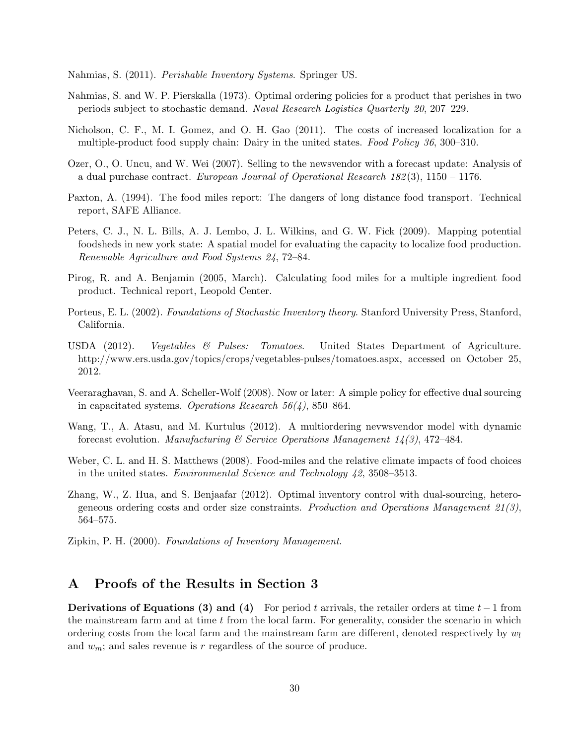Nahmias, S. (2011). Perishable Inventory Systems. Springer US.

- Nahmias, S. and W. P. Pierskalla (1973). Optimal ordering policies for a product that perishes in two periods subject to stochastic demand. Naval Research Logistics Quarterly 20, 207–229.
- Nicholson, C. F., M. I. Gomez, and O. H. Gao (2011). The costs of increased localization for a multiple-product food supply chain: Dairy in the united states. Food Policy 36, 300–310.
- Ozer, O., O. Uncu, and W. Wei (2007). Selling to the newsvendor with a forecast update: Analysis of a dual purchase contract. European Journal of Operational Research  $182(3)$ ,  $1150 - 1176$ .
- Paxton, A. (1994). The food miles report: The dangers of long distance food transport. Technical report, SAFE Alliance.
- Peters, C. J., N. L. Bills, A. J. Lembo, J. L. Wilkins, and G. W. Fick (2009). Mapping potential foodsheds in new york state: A spatial model for evaluating the capacity to localize food production. Renewable Agriculture and Food Systems 24, 72–84.
- Pirog, R. and A. Benjamin (2005, March). Calculating food miles for a multiple ingredient food product. Technical report, Leopold Center.
- Porteus, E. L. (2002). Foundations of Stochastic Inventory theory. Stanford University Press, Stanford, California.
- USDA (2012). Vegetables & Pulses: Tomatoes. United States Department of Agriculture. http://www.ers.usda.gov/topics/crops/vegetables-pulses/tomatoes.aspx, accessed on October 25, 2012.
- Veeraraghavan, S. and A. Scheller-Wolf (2008). Now or later: A simple policy for effective dual sourcing in capacitated systems. Operations Research  $56(4)$ , 850–864.
- Wang, T., A. Atasu, and M. Kurtulus (2012). A multiordering nevwsvendor model with dynamic forecast evolution. Manufacturing  $\mathcal C$  Service Operations Manugement 14(3), 472–484.
- Weber, C. L. and H. S. Matthews (2008). Food-miles and the relative climate impacts of food choices in the united states. Environmental Science and Technology 42, 3508–3513.
- Zhang, W., Z. Hua, and S. Benjaafar (2012). Optimal inventory control with dual-sourcing, heterogeneous ordering costs and order size constraints. Production and Operations Management  $21(3)$ , 564–575.
- Zipkin, P. H. (2000). Foundations of Inventory Management.

### A Proofs of the Results in Section 3

Derivations of Equations (3) and (4) For period t arrivals, the retailer orders at time  $t-1$  from the mainstream farm and at time t from the local farm. For generality, consider the scenario in which ordering costs from the local farm and the mainstream farm are different, denoted respectively by  $w_l$ and  $w_m$ ; and sales revenue is r regardless of the source of produce.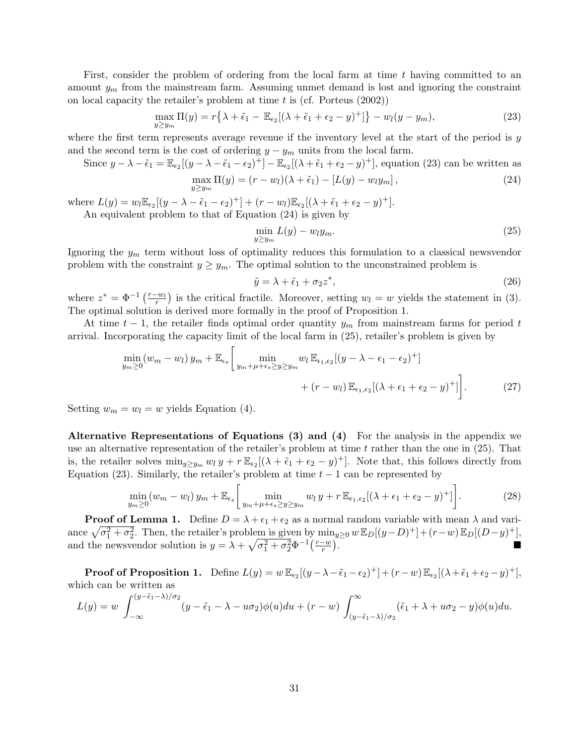First, consider the problem of ordering from the local farm at time t having committed to an amount  $y_m$  from the mainstream farm. Assuming unmet demand is lost and ignoring the constraint on local capacity the retailer's problem at time  $t$  is (cf. Porteus  $(2002)$ )

$$
\max_{y \ge y_m} \Pi(y) = r\left\{\lambda + \tilde{\epsilon}_1 - \mathbb{E}_{\epsilon_2}[(\lambda + \tilde{\epsilon}_1 + \epsilon_2 - y)^+] \right\} - w_l(y - y_m),\tag{23}
$$

where the first term represents average revenue if the inventory level at the start of the period is  $y$ and the second term is the cost of ordering  $y - y_m$  units from the local farm.

Since 
$$
y - \lambda - \tilde{\epsilon}_1 = \mathbb{E}_{\epsilon_2}[(y - \lambda - \tilde{\epsilon}_1 - \epsilon_2)^+] - \mathbb{E}_{\epsilon_2}[(\lambda + \tilde{\epsilon}_1 + \epsilon_2 - y)^+]
$$
, equation (23) can be written as  
\n
$$
\max_{\mu \in \mathbb{N}} \Pi(u) = (x - uv)(\lambda + \tilde{\epsilon}_1) - [L(u) - yv] \tag{24}
$$

$$
\max_{y \ge y_m} \Pi(y) = (r - w_l)(\lambda + \tilde{\epsilon}_1) - [L(y) - w_l y_m], \qquad (24)
$$

where  $L(y) = w_l \mathbb{E}_{\epsilon_2}[(y - \lambda - \tilde{\epsilon}_1 - \epsilon_2)^+] + (r - w_l) \mathbb{E}_{\epsilon_2}[(\lambda + \tilde{\epsilon}_1 + \epsilon_2 - y)^+]$ . An equivalent problem to that of Equation (24) is given by

$$
\min_{y \ge y_m} L(y) - w_l y_m. \tag{25}
$$

Ignoring the  $y_m$  term without loss of optimality reduces this formulation to a classical newsvendor problem with the constraint  $y \geq y_m$ . The optimal solution to the unconstrained problem is

$$
\tilde{y} = \lambda + \tilde{\epsilon}_1 + \sigma_2 z^*,\tag{26}
$$

where  $z^* = \Phi^{-1}\left(\frac{r-w_l}{r}\right)$  is the critical fractile. Moreover, setting  $w_l = w$  yields the statement in (3). The optimal solution is derived more formally in the proof of Proposition 1.

At time  $t-1$ , the retailer finds optimal order quantity  $y_m$  from mainstream farms for period t arrival. Incorporating the capacity limit of the local farm in (25), retailer's problem is given by

$$
\min_{y_m \ge 0} (w_m - w_l) y_m + \mathbb{E}_{\epsilon_s} \left[ \min_{y_m + \mu + \epsilon_s \ge y \ge y_m} w_l \mathbb{E}_{\epsilon_1, \epsilon_2} [(y - \lambda - \epsilon_1 - \epsilon_2)^+] + (r - w_l) \mathbb{E}_{\epsilon_1, \epsilon_2} [(\lambda + \epsilon_1 + \epsilon_2 - y)^+] \right]. \tag{27}
$$

Setting  $w_m = w_l = w$  yields Equation (4).

Alternative Representations of Equations (3) and (4) For the analysis in the appendix we use an alternative representation of the retailer's problem at time  $t$  rather than the one in (25). That is, the retailer solves  $\min_{y \geq y_m} w_l y + r \mathbb{E}_{\epsilon_2}[(\lambda + \tilde{\epsilon}_1 + \epsilon_2 - y)^+]$ . Note that, this follows directly from Equation (23). Similarly, the retailer's problem at time  $t - 1$  can be represented by

$$
\min_{y_m \ge 0} (w_m - w_l) y_m + \mathbb{E}_{\epsilon_s} \left[ \min_{y_m + \mu + \epsilon_s \ge y \ge y_m} w_l y + r \mathbb{E}_{\epsilon_1, \epsilon_2} [(\lambda + \epsilon_1 + \epsilon_2 - y)^+] \right]. \tag{28}
$$

**Proof of Lemma 1.** Define  $D = \lambda + \epsilon_1 + \epsilon_2$  as a normal random variable with mean  $\lambda$  and variance  $\sqrt{\sigma_1^2 + \sigma_2^2}$ . Then, the retailer's problem is given by  $\min_{y\geq 0} w \mathbb{E}_D[(y-D)^+] + (r-w) \mathbb{E}_D[(D-y)^+]$ , and the newsvendor solution is  $y = \lambda + \sqrt{\sigma_1^2 + \sigma_2^2} \Phi^{-1} \left( \frac{r-w}{r} \right)$  $\frac{-w}{r}$ .

**Proof of Proposition 1.** Define  $L(y) = w \mathbb{E}_{\epsilon_2}[(y - \lambda - \tilde{\epsilon}_1 - \epsilon_2)^+] + (r - w) \mathbb{E}_{\epsilon_2}[(\lambda + \tilde{\epsilon}_1 + \epsilon_2 - y)^+]$ , which can be written as

$$
L(y) = w \int_{-\infty}^{(y-\tilde{\epsilon}_1-\lambda)/\sigma_2} (y-\tilde{\epsilon}_1-\lambda-u\sigma_2)\phi(u)du + (r-w) \int_{(y-\tilde{\epsilon}_1-\lambda)/\sigma_2}^{\infty} (\tilde{\epsilon}_1+\lambda+u\sigma_2-y)\phi(u)du.
$$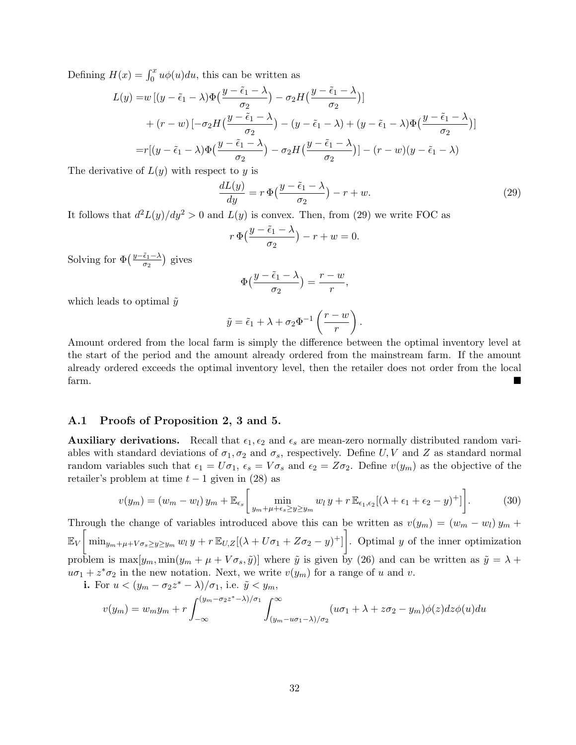Defining  $H(x) = \int_0^x u\phi(u)du$ , this can be written as

$$
L(y) = w \left[ (y - \tilde{\epsilon}_1 - \lambda) \Phi \left( \frac{y - \tilde{\epsilon}_1 - \lambda}{\sigma_2} \right) - \sigma_2 H \left( \frac{y - \tilde{\epsilon}_1 - \lambda}{\sigma_2} \right) \right]
$$
  
+ 
$$
\left( r - w \right) \left[ -\sigma_2 H \left( \frac{y - \tilde{\epsilon}_1 - \lambda}{\sigma_2} \right) - \left( y - \tilde{\epsilon}_1 - \lambda \right) + \left( y - \tilde{\epsilon}_1 - \lambda \right) \Phi \left( \frac{y - \tilde{\epsilon}_1 - \lambda}{\sigma_2} \right) \right]
$$

$$
= r \left[ (y - \tilde{\epsilon}_1 - \lambda) \Phi \left( \frac{y - \tilde{\epsilon}_1 - \lambda}{\sigma_2} \right) - \sigma_2 H \left( \frac{y - \tilde{\epsilon}_1 - \lambda}{\sigma_2} \right) \right] - \left( r - w \right) \left( y - \tilde{\epsilon}_1 - \lambda \right)
$$

The derivative of  $L(y)$  with respect to y is

$$
\frac{dL(y)}{dy} = r \Phi\left(\frac{y - \tilde{\epsilon}_1 - \lambda}{\sigma_2}\right) - r + w.
$$
\n(29)

It follows that  $d^2L(y)/dy^2 > 0$  and  $L(y)$  is convex. Then, from (29) we write FOC as

$$
r \Phi\left(\frac{y-\tilde{\epsilon}_1-\lambda}{\sigma_2}\right)-r+w=0.
$$

Solving for  $\Phi\left(\frac{y-\tilde{\epsilon}_1-\lambda}{\sigma_0}\right)$  $\frac{\tilde{\epsilon}_1 - \lambda}{\sigma_2}$ ) gives

$$
\Phi\left(\frac{y-\tilde{\epsilon}_1-\lambda}{\sigma_2}\right)=\frac{r-w}{r},
$$

which leads to optimal  $\tilde{y}$ 

$$
\tilde{y} = \tilde{\epsilon}_1 + \lambda + \sigma_2 \Phi^{-1} \left( \frac{r - w}{r} \right).
$$

Amount ordered from the local farm is simply the difference between the optimal inventory level at the start of the period and the amount already ordered from the mainstream farm. If the amount already ordered exceeds the optimal inventory level, then the retailer does not order from the local farm.

### A.1 Proofs of Proposition 2, 3 and 5.

**Auxiliary derivations.** Recall that  $\epsilon_1, \epsilon_2$  and  $\epsilon_s$  are mean-zero normally distributed random variables with standard deviations of  $\sigma_1, \sigma_2$  and  $\sigma_s$ , respectively. Define U, V and Z as standard normal random variables such that  $\epsilon_1 = U\sigma_1$ ,  $\epsilon_s = V\sigma_s$  and  $\epsilon_2 = Z\sigma_2$ . Define  $v(y_m)$  as the objective of the retailer's problem at time  $t - 1$  given in (28) as

$$
v(y_m) = (w_m - w_l) y_m + \mathbb{E}_{\epsilon_s} \left[ \min_{y_m + \mu + \epsilon_s \ge y \ge y_m} w_l y + r \mathbb{E}_{\epsilon_1, \epsilon_2} [(\lambda + \epsilon_1 + \epsilon_2 - y)^+] \right].
$$
 (30)

Through the change of variables introduced above this can be written as  $v(y_m) = (w_m - w_l) y_m +$  $\mathbb{E}_V \left[ \min_{y_m + \mu + V \sigma_s \geq y \geq y_m} w_l y + r \mathbb{E}_{U,Z} [(\lambda + U \sigma_1 + Z \sigma_2 - y)^+] \right]$ . Optimal y of the inner optimization problem is  $\max[y_m, \min(y_m + \mu + V\sigma_s, \tilde{y})]$  where  $\tilde{y}$  is given by (26) and can be written as  $\tilde{y} = \lambda + \mu$  $u\sigma_1 + z^*\sigma_2$  in the new notation. Next, we write  $v(y_m)$  for a range of u and v. i. For  $u < (u_{\infty})$  $\lambda$ )/ $\sigma_i$ , i.e.  $\tilde{u}$ 

For 
$$
u < (y_m - \sigma_2 z - \lambda)/\sigma_1
$$
, i.e.  $y < y_m$ ,  
\n
$$
v(y_m) = w_m y_m + r \int_{-\infty}^{(y_m - \sigma_2 z^* - \lambda)/\sigma_1} \int_{(y_m - u\sigma_1 - \lambda)/\sigma_2}^{\infty} (u\sigma_1 + \lambda + z\sigma_2 - y_m) \phi(z) dz \phi(u) du
$$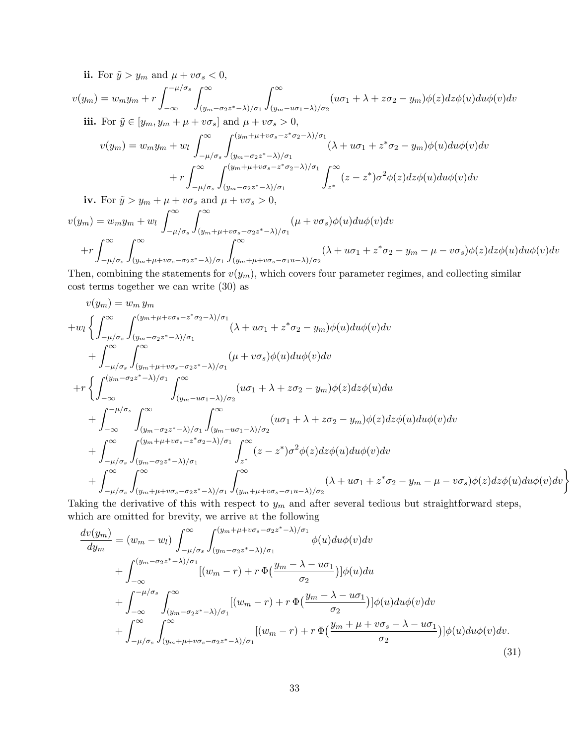ii. For  $\tilde{y} > y_m$  and  $\mu + v\sigma_s < 0$ ,

$$
v(y_m) = w_m y_m + r \int_{-\infty}^{-\mu/\sigma_s} \int_{(y_m - \sigma_2 z^* - \lambda)/\sigma_1}^{\infty} \int_{(y_m - u\sigma_1 - \lambda)/\sigma_2}^{\infty} (u\sigma_1 + \lambda + z\sigma_2 - y_m)\phi(z)dz\phi(u)du\phi(v)dv
$$
  
\niii. For  $\tilde{y} \in [y_m, y_m + \mu + v\sigma_s]$  and  $\mu + v\sigma_s > 0$ ,  
\n
$$
v(y_m) = w_m y_m + w_l \int_{-\mu/\sigma_s}^{\infty} \int_{(y_m - \sigma_2 z^* - \lambda)/\sigma_1}^{(y_m + \mu + v\sigma_s - z^* \sigma_2 - \lambda)/\sigma_1} (\lambda + u\sigma_1 + z^* \sigma_2 - y_m)\phi(u)du\phi(v)dv
$$
\n
$$
+ r \int_{-\mu/\sigma_s}^{\infty} \int_{(y_m - \sigma_2 z^* - \lambda)/\sigma_1}^{(y_m + \mu + v\sigma_s - z^* \sigma_2 - \lambda)/\sigma_1} \int_{z^*}^{\infty} (z - z^*)\sigma^2 \phi(z)dz\phi(u)du\phi(v)dv
$$
\niv. For  $\tilde{y} > y_m + \mu + v\sigma_s$  and  $\mu + v\sigma_s > 0$ ,  
\n
$$
v(y_m) = w_m y_m + w_l \int_{-\mu/\sigma_s}^{\infty} \int_{(y_m + \mu + v\sigma_s - \sigma_2 z^* - \lambda)/\sigma_1}^{\infty} (\mu + v\sigma_s)\phi(u)du\phi(v)dv
$$

$$
+r\int_{-\mu/\sigma_s}^{\infty}\int_{(y_m+\mu+v\sigma_s-\sigma_2z^*-\lambda)/\sigma_1}^{\infty}\int_{(y_m+\mu+v\sigma_s-\sigma_1u-\lambda)/\sigma_2}^{\infty}(\lambda+u\sigma_1+z^*\sigma_2-y_m-\mu-v\sigma_s)\phi(z)dz\phi(u)du\phi(v)dv
$$

Then, combining the statements for  $v(y_m)$ , which covers four parameter regimes, and collecting similar cost terms together we can write (30) as

$$
v(y_m) = w_m y_m
$$
  
\n
$$
+ w_l \left\{ \int_{-\mu/\sigma_s}^{\infty} \int_{(y_m - \sigma_2 z^* - \lambda)/\sigma_1}^{(y_m + \mu + v\sigma_s - z^* \sigma_2 - \lambda)/\sigma_1} (\lambda + u\sigma_1 + z^* \sigma_2 - y_m) \phi(u) du \phi(v) dv \right. \\ \left. + \int_{-\mu/\sigma_s}^{\infty} \int_{(y_m + \mu + v\sigma_s - \sigma_2 z^* - \lambda)/\sigma_1}^{\infty} (\mu + v\sigma_s) \phi(u) du \phi(v) dv \right. \\ \left. + r \left\{ \int_{-\infty}^{(y_m - \sigma_2 z^* - \lambda)/\sigma_1} \int_{(y_m - u\sigma_1 - \lambda)/\sigma_2}^{\infty} (u\sigma_1 + \lambda + z\sigma_2 - y_m) \phi(z) dz \phi(u) du \right. \\ \left. + \int_{-\infty}^{-\mu/\sigma_s} \int_{(y_m - \sigma_2 z^* - \lambda)/\sigma_1}^{\infty} \int_{(y_m - u\sigma_1 - \lambda)/\sigma_2}^{\infty} (u\sigma_1 + \lambda + z\sigma_2 - y_m) \phi(z) dz \phi(u) du \phi(v) dv \right. \\ \left. + \int_{-\mu/\sigma_s}^{\infty} \int_{(y_m - \sigma_2 z^* - \lambda)/\sigma_1}^{(y_m + \mu + v\sigma_s - z^* \sigma_2 - \lambda)/\sigma_1} \int_{z^*}^{\infty} (z - z^*) \sigma^2 \phi(z) dz \phi(u) du \phi(v) dv \right. \\ \left. + \int_{-\mu/\sigma_s}^{\infty} \int_{(y_m + \mu + v\sigma_s - \sigma_2 z^* - \lambda)/\sigma_1}^{\infty} \int_{(y_m + \mu + v\sigma_s - \sigma_1 u - \lambda)/\sigma_2}^{\infty} (\lambda + u\sigma_1 + z^* \sigma_2 - y_m - \mu - v\sigma_s) \phi(z) dz \phi(u) du \phi(v) dv \right\}
$$

Taking the derivative of this with respect to  $y_m$  and after several tedious but straightforward steps, which are omitted for brevity, we arrive at the following

$$
\frac{dv(y_m)}{dy_m} = (w_m - w_l) \int_{-\mu/\sigma_s}^{\infty} \int_{(y_m - \sigma_2 z^* - \lambda)/\sigma_1}^{(y_m + \mu + v\sigma_s - \sigma_2 z^* - \lambda)/\sigma_1} \phi(u) du \phi(v) dv \n+ \int_{-\infty}^{(y_m - \sigma_2 z^* - \lambda)/\sigma_1} [(w_m - r) + r \Phi(\frac{y_m - \lambda - u\sigma_1}{\sigma_2})] \phi(u) du \n+ \int_{-\infty}^{-\mu/\sigma_s} \int_{(y_m - \sigma_2 z^* - \lambda)/\sigma_1}^{\infty} [(w_m - r) + r \Phi(\frac{y_m - \lambda - u\sigma_1}{\sigma_2})] \phi(u) du \phi(v) dv \n+ \int_{-\mu/\sigma_s}^{\infty} \int_{(y_m + \mu + v\sigma_s - \sigma_2 z^* - \lambda)/\sigma_1}^{\infty} [(w_m - r) + r \Phi(\frac{y_m + \mu + v\sigma_s - \lambda - u\sigma_1}{\sigma_2})] \phi(u) du \phi(v) dv.
$$
\n(31)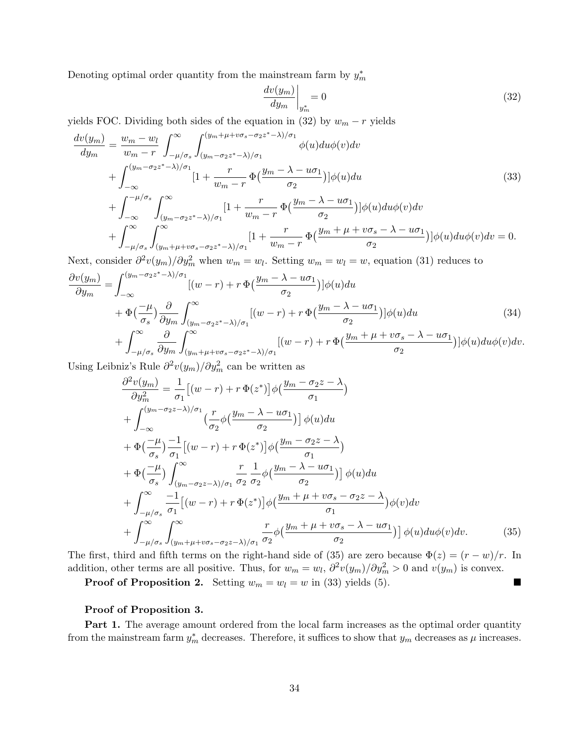Denoting optimal order quantity from the mainstream farm by  $y_m^*$ 

$$
\left. \frac{dv(y_m)}{dy_m} \right|_{y_m^*} = 0 \tag{32}
$$

yields FOC. Dividing both sides of the equation in (32) by  $w_m - r$  yields

$$
\frac{dv(y_m)}{dy_m} = \frac{w_m - w_l}{w_m - r} \int_{-\mu/\sigma_s}^{\infty} \int_{(y_m - \sigma_2 z^* - \lambda)/\sigma_1}^{(y_m + \mu + v\sigma_s - \sigma_2 z^* - \lambda)/\sigma_1} \phi(u) du \phi(v) dv \n+ \int_{-\infty}^{(y_m - \sigma_2 z^* - \lambda)/\sigma_1} [1 + \frac{r}{w_m - r} \Phi(\frac{y_m - \lambda - u\sigma_1}{\sigma_2})] \phi(u) du \n+ \int_{-\infty}^{-\mu/\sigma_s} \int_{(y_m - \sigma_2 z^* - \lambda)/\sigma_1}^{\infty} [1 + \frac{r}{w_m - r} \Phi(\frac{y_m - \lambda - u\sigma_1}{\sigma_2})] \phi(u) du \phi(v) dv \n+ \int_{-\mu/\sigma_s}^{\infty} \int_{(y_m + \mu + v\sigma_s - \sigma_2 z^* - \lambda)/\sigma_1}^{\infty} [1 + \frac{r}{w_m - r} \Phi(\frac{y_m + \mu + v\sigma_s - \lambda - u\sigma_1}{\sigma_2})] \phi(u) du \phi(v) dv = 0.
$$
\n(33)

Next, consider  $\partial^2 v(y_m)/\partial y_m^2$  when  $w_m = w_l$ . Setting  $w_m = w_l = w$ , equation (31) reduces to

$$
\frac{\partial v(y_m)}{\partial y_m} = \int_{-\infty}^{(y_m - \sigma_2 z^* - \lambda)/\sigma_1} [(w - r) + r \Phi(\frac{y_m - \lambda - u\sigma_1}{\sigma_2})] \phi(u) du \n+ \Phi(\frac{-\mu}{\sigma_s}) \frac{\partial}{\partial y_m} \int_{(y_m - \sigma_2 z^* - \lambda)/\sigma_1}^{\infty} [(w - r) + r \Phi(\frac{y_m - \lambda - u\sigma_1}{\sigma_2})] \phi(u) du \n+ \int_{-\mu/\sigma_s}^{\infty} \frac{\partial}{\partial y_m} \int_{(y_m + \mu + v\sigma_s - \sigma_2 z^* - \lambda)/\sigma_1}^{\infty} [(w - r) + r \Phi(\frac{y_m + \mu + v\sigma_s - \lambda - u\sigma_1}{\sigma_2})] \phi(u) du \phi(v) dv.
$$
\n(34)

Using Leibniz's Rule  $\partial^2 v(y_m) / \partial y_m^2$  can be written as

$$
\frac{\partial^2 v(y_m)}{\partial y_m^2} = \frac{1}{\sigma_1} \left[ (w - r) + r \Phi(z^*) \right] \phi\left(\frac{y_m - \sigma_2 z - \lambda}{\sigma_1} \right)
$$
\n
$$
+ \int_{-\infty}^{(y_m - \sigma_2 z - \lambda)/\sigma_1} \left( \frac{r}{\sigma_2} \phi\left(\frac{y_m - \lambda - u\sigma_1}{\sigma_2}\right) \right] \phi(u) du
$$
\n
$$
+ \Phi\left(\frac{-\mu}{\sigma_s}\right) \frac{-1}{\sigma_1} \left[ (w - r) + r \Phi(z^*) \right] \phi\left(\frac{y_m - \sigma_2 z - \lambda}{\sigma_1} \right)
$$
\n
$$
+ \Phi\left(\frac{-\mu}{\sigma_s}\right) \int_{(y_m - \sigma_2 z - \lambda)/\sigma_1}^{\infty} \frac{r}{\sigma_2} \frac{1}{\sigma_2} \phi\left(\frac{y_m - \lambda - u\sigma_1}{\sigma_2}\right) \phi(u) du
$$
\n
$$
+ \int_{-\mu/\sigma_s}^{\infty} \frac{-1}{\sigma_1} \left[ (w - r) + r \Phi(z^*) \right] \phi\left(\frac{y_m + \mu + v\sigma_s - \sigma_2 z - \lambda}{\sigma_1} \right) \phi(v) dv
$$
\n
$$
+ \int_{-\mu/\sigma_s}^{\infty} \int_{(y_m + \mu + v\sigma_s - \sigma_2 z - \lambda)/\sigma_1}^{\infty} \frac{r}{\sigma_2} \phi\left(\frac{y_m + \mu + v\sigma_s - \lambda - u\sigma_1}{\sigma_2} \right) \phi(u) du \phi(v) dv.
$$
\n(35)

The first, third and fifth terms on the right-hand side of (35) are zero because  $\Phi(z) = (r - w)/r$ . In addition, other terms are all positive. Thus, for  $w_m = w_l$ ,  $\partial^2 v(y_m) / \partial y_m^2 > 0$  and  $v(y_m)$  is convex.

**Proof of Proposition 2.** Setting  $w_m = w_l = w$  in (33) yields (5).

### Proof of Proposition 3.

**Part 1.** The average amount ordered from the local farm increases as the optimal order quantity from the mainstream farm  $y_m^*$  decreases. Therefore, it suffices to show that  $y_m$  decreases as  $\mu$  increases.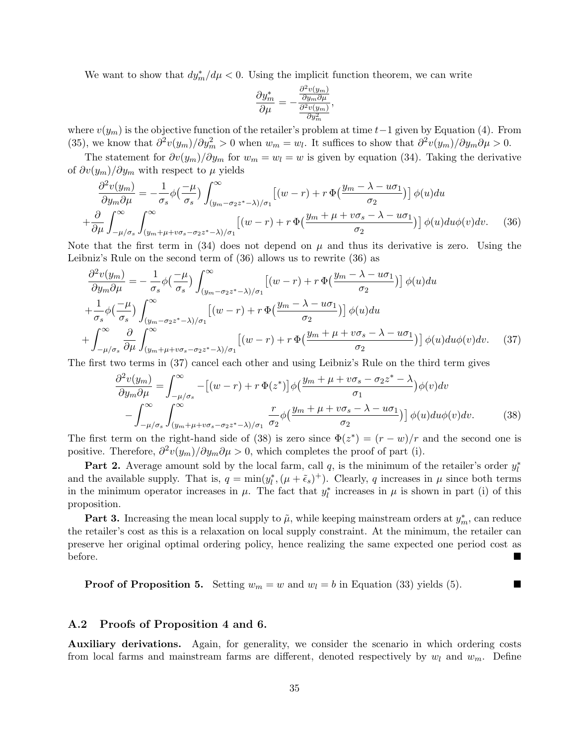We want to show that  $dy_m^*/d\mu < 0$ . Using the implicit function theorem, we can write

$$
\frac{\partial y_m^*}{\partial \mu} = -\frac{\frac{\partial^2 v(y_m)}{\partial y_m \partial \mu}}{\frac{\partial^2 v(y_m)}{\partial y_m^2}},
$$

where  $v(y_m)$  is the objective function of the retailer's problem at time  $t-1$  given by Equation (4). From (35), we know that  $\partial^2 v(y_m)/\partial y_m^2 > 0$  when  $w_m = w_l$ . It suffices to show that  $\partial^2 v(y_m)/\partial y_m \partial \mu > 0$ .

The statement for  $\partial v(y_m)/\partial y_m$  for  $w_m = w_l = w$  is given by equation (34). Taking the derivative of  $\partial v(y_m)/\partial y_m$  with respect to  $\mu$  yields

$$
\frac{\partial^2 v(y_m)}{\partial y_m \partial \mu} = -\frac{1}{\sigma_s} \phi \left( \frac{-\mu}{\sigma_s} \right) \int_{(y_m - \sigma_2 z^* - \lambda)/\sigma_1}^{\infty} \left[ (w - r) + r \Phi \left( \frac{y_m - \lambda - u \sigma_1}{\sigma_2} \right) \right] \phi(u) du
$$
  
+ 
$$
\frac{\partial}{\partial \mu} \int_{-\mu/\sigma_s}^{\infty} \int_{(y_m + \mu + v \sigma_s - \sigma_2 z^* - \lambda)/\sigma_1}^{\infty} \left[ (w - r) + r \Phi \left( \frac{y_m + \mu + v \sigma_s - \lambda - u \sigma_1}{\sigma_2} \right) \right] \phi(u) du \phi(v) dv. \tag{36}
$$

Note that the first term in (34) does not depend on  $\mu$  and thus its derivative is zero. Using the Leibniz's Rule on the second term of (36) allows us to rewrite (36) as

$$
\frac{\partial^2 v(y_m)}{\partial y_m \partial \mu} = -\frac{1}{\sigma_s} \phi\left(\frac{-\mu}{\sigma_s}\right) \int_{(y_m - \sigma_2 z^* - \lambda)/\sigma_1}^{\infty} \left[ (w - r) + r \Phi\left(\frac{y_m - \lambda - u\sigma_1}{\sigma_2}\right) \right] \phi(u) du
$$
  
+ 
$$
\frac{1}{\sigma_s} \phi\left(\frac{-\mu}{\sigma_s}\right) \int_{(y_m - \sigma_2 z^* - \lambda)/\sigma_1}^{\infty} \left[ (w - r) + r \Phi\left(\frac{y_m - \lambda - u\sigma_1}{\sigma_2}\right) \right] \phi(u) du
$$
  
+ 
$$
\int_{-\mu/\sigma_s}^{\infty} \frac{\partial}{\partial \mu} \int_{(y_m + \mu + v\sigma_s - \sigma_2 z^* - \lambda)/\sigma_1}^{\infty} \left[ (w - r) + r \Phi\left(\frac{y_m + \mu + v\sigma_s - \lambda - u\sigma_1}{\sigma_2}\right) \right] \phi(u) du \phi(v) dv. \quad (37)
$$

The first two terms in (37) cancel each other and using Leibniz's Rule on the third term gives

$$
\frac{\partial^2 v(y_m)}{\partial y_m \partial \mu} = \int_{-\mu/\sigma_s}^{\infty} -[(w-r) + r \Phi(z^*)] \phi(\frac{y_m + \mu + v \sigma_s - \sigma_2 z^* - \lambda}{\sigma_1}) \phi(v) dv \n- \int_{-\mu/\sigma_s}^{\infty} \int_{(y_m + \mu + v \sigma_s - \sigma_2 z^* - \lambda)/\sigma_1}^{\infty} \frac{r}{\sigma_2} \phi(\frac{y_m + \mu + v \sigma_s - \lambda - u \sigma_1}{\sigma_2})] \phi(u) du \phi(v) dv.
$$
\n(38)

The first term on the right-hand side of (38) is zero since  $\Phi(z^*) = (r - w)/r$  and the second one is positive. Therefore,  $\partial^2 v(y_m) / \partial y_m \partial \mu > 0$ , which completes the proof of part (i).

**Part 2.** Average amount sold by the local farm, call  $q$ , is the minimum of the retailer's order  $y_l^*$ and the available supply. That is,  $q = \min(y_l^*, (\mu + \tilde{\epsilon}_s)^+)$ . Clearly, q increases in  $\mu$  since both terms in the minimum operator increases in  $\mu$ . The fact that  $y_l^*$  increases in  $\mu$  is shown in part (i) of this proposition.

**Part 3.** Increasing the mean local supply to  $\tilde{\mu}$ , while keeping mainstream orders at  $y_m^*$ , can reduce the retailer's cost as this is a relaxation on local supply constraint. At the minimum, the retailer can preserve her original optimal ordering policy, hence realizing the same expected one period cost as before.

**Proof of Proposition 5.** Setting  $w_m = w$  and  $w_l = b$  in Equation (33) yields (5).

### A.2 Proofs of Proposition 4 and 6.

Auxiliary derivations. Again, for generality, we consider the scenario in which ordering costs from local farms and mainstream farms are different, denoted respectively by  $w_l$  and  $w_m$ . Define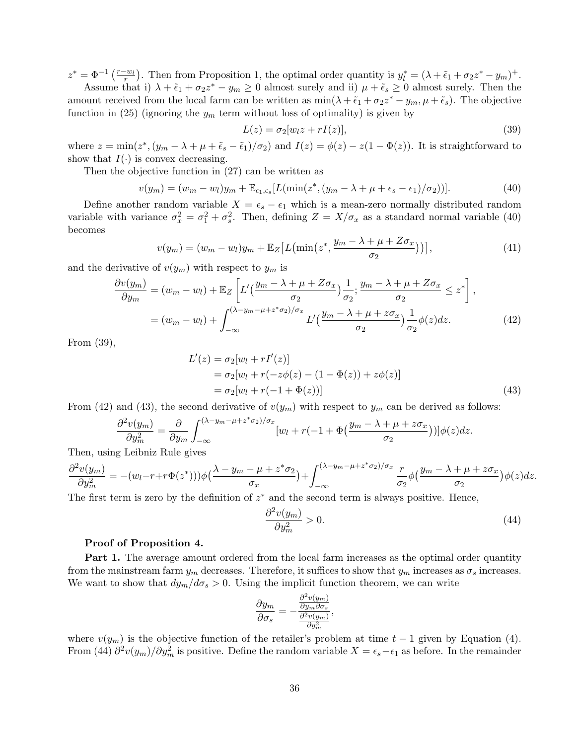$z^* = \Phi^{-1}\left(\frac{r-w_l}{r}\right)$ . Then from Proposition 1, the optimal order quantity is  $y_l^* = (\lambda + \tilde{\epsilon}_1 + \sigma_2 z^* - y_m)^+$ . Assume that i)  $\lambda + \tilde{\epsilon}_1 + \sigma_2 z^* - y_m \ge 0$  almost surely and ii)  $\mu + \tilde{\epsilon}_s \ge 0$  almost surely. Then the

amount received from the local farm can be written as  $\min(\lambda + \tilde{\epsilon}_1 + \sigma_2 z^* - y_m, \mu + \tilde{\epsilon}_s)$ . The objective function in (25) (ignoring the  $y_m$  term without loss of optimality) is given by

$$
L(z) = \sigma_2[w_l z + rI(z)],\tag{39}
$$

where  $z = \min(z^*, (y_m - \lambda + \mu + \tilde{\epsilon}_s - \tilde{\epsilon}_1)/\sigma_2)$  and  $I(z) = \phi(z) - z(1 - \Phi(z))$ . It is straightforward to show that  $I(\cdot)$  is convex decreasing.

Then the objective function in (27) can be written as

$$
v(y_m) = (w_m - w_l)y_m + \mathbb{E}_{\epsilon_1, \epsilon_s}[L(\min(z^*, (y_m - \lambda + \mu + \epsilon_s - \epsilon_1)/\sigma_2))].
$$
\n(40)

Define another random variable  $X = \epsilon_s - \epsilon_1$  which is a mean-zero normally distributed random variable with variance  $\sigma_x^2 = \sigma_1^2 + \sigma_s^2$ . Then, defining  $Z = X/\sigma_x$  as a standard normal variable (40) becomes

$$
v(y_m) = (w_m - w_l)y_m + \mathbb{E}_Z \left[ L\left(\min\left(z^*, \frac{y_m - \lambda + \mu + Z\sigma_x}{\sigma_2}\right)\right) \right],\tag{41}
$$

and the derivative of  $v(y_m)$  with respect to  $y_m$  is

$$
\frac{\partial v(y_m)}{\partial y_m} = (w_m - w_l) + \mathbb{E}_Z \left[ L' \left( \frac{y_m - \lambda + \mu + Z \sigma_x}{\sigma_2} \right) \frac{1}{\sigma_2}; \frac{y_m - \lambda + \mu + Z \sigma_x}{\sigma_2} \le z^* \right],
$$
  
= 
$$
(w_m - w_l) + \int_{-\infty}^{(\lambda - y_m - \mu + z^* \sigma_2)/\sigma_x} L' \left( \frac{y_m - \lambda + \mu + z \sigma_x}{\sigma_2} \right) \frac{1}{\sigma_2} \phi(z) dz.
$$
 (42)

From (39),

$$
L'(z) = \sigma_2[w_l + rI'(z)]
$$
  
=  $\sigma_2[w_l + r(-z\phi(z) - (1 - \Phi(z)) + z\phi(z)]$   
=  $\sigma_2[w_l + r(-1 + \Phi(z))]$  (43)

From (42) and (43), the second derivative of  $v(y_m)$  with respect to  $y_m$  can be derived as follows:

$$
\frac{\partial^2 v(y_m)}{\partial y_m^2} = \frac{\partial}{\partial y_m} \int_{-\infty}^{(\lambda - y_m - \mu + z^* \sigma_2)/\sigma_x} [w_l + r(-1 + \Phi(\frac{y_m - \lambda + \mu + z \sigma_x}{\sigma_2}))] \phi(z) dz.
$$

Then, using Leibniz Rule gives

$$
\frac{\partial^2 v(y_m)}{\partial y_m^2} = -(w_l - r + r\Phi(z^*)))\phi\left(\frac{\lambda - y_m - \mu + z^*\sigma_2}{\sigma_x}\right) + \int_{-\infty}^{(\lambda - y_m - \mu + z^*\sigma_2)/\sigma_x} \frac{r}{\sigma_2} \phi\left(\frac{y_m - \lambda + \mu + z\sigma_x}{\sigma_2}\right) \phi(z) dz.
$$

The first term is zero by the definition of  $z^*$  and the second term is always positive. Hence,

$$
\frac{\partial^2 v(y_m)}{\partial y_m^2} > 0. \tag{44}
$$

#### Proof of Proposition 4.

**Part 1.** The average amount ordered from the local farm increases as the optimal order quantity from the mainstream farm  $y_m$  decreases. Therefore, it suffices to show that  $y_m$  increases as  $\sigma_s$  increases. We want to show that  $dy_m/d\sigma_s > 0$ . Using the implicit function theorem, we can write

$$
\frac{\partial y_m}{\partial \sigma_s} = -\frac{\frac{\partial^2 v(y_m)}{\partial y_m \partial \sigma_s}}{\frac{\partial^2 v(y_m)}{\partial y_m^2}},
$$

where  $v(y_m)$  is the objective function of the retailer's problem at time  $t-1$  given by Equation (4). From (44)  $\partial^2 v(y_m)/\partial y_m^2$  is positive. Define the random variable  $X = \epsilon_s - \epsilon_1$  as before. In the remainder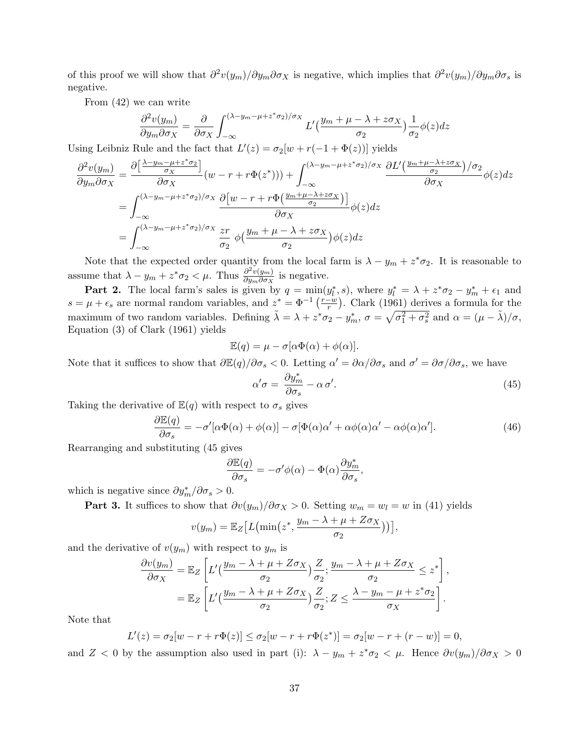of this proof we will show that  $\partial^2 v(y_m) / \partial y_m \partial \sigma_X$  is negative, which implies that  $\partial^2 v(y_m) / \partial y_m \partial \sigma_S$  is negative.

From (42) we can write

$$
\frac{\partial^2 v(y_m)}{\partial y_m \partial \sigma_X} = \frac{\partial}{\partial \sigma_X} \int_{-\infty}^{(\lambda - y_m - \mu + z^* \sigma_2)/\sigma_X} L'(\frac{y_m + \mu - \lambda + z \sigma_X}{\sigma_2}) \frac{1}{\sigma_2} \phi(z) dz
$$

Using Leibniz Rule and the fact that  $L'(z) = \sigma_2[w + r(-1 + \Phi(z))]$  yields

$$
\frac{\partial^2 v(y_m)}{\partial y_m \partial \sigma_X} = \frac{\partial \left[ \frac{\lambda - y_m - \mu + z^* \sigma_2}{\sigma_X} \right]}{\partial \sigma_X} (w - r + r \Phi(z^*))) + \int_{-\infty}^{(\lambda - y_m - \mu + z^* \sigma_2)/\sigma_X} \frac{\partial L'\left(\frac{y_m + \mu - \lambda + z \sigma_X}{\sigma_2}\right)/\sigma_2}{\partial \sigma_X} \phi(z) dz
$$
  
\n
$$
= \int_{-\infty}^{(\lambda - y_m - \mu + z^* \sigma_2)/\sigma_X} \frac{\partial \left[w - r + r \Phi\left(\frac{y_m + \mu - \lambda + z \sigma_X}{\sigma_2}\right)\right]}{\partial \sigma_X} \phi(z) dz
$$
  
\n
$$
= \int_{-\infty}^{(\lambda - y_m - \mu + z^* \sigma_2)/\sigma_X} \frac{zr}{\sigma_2} \phi\left(\frac{y_m + \mu - \lambda + z \sigma_X}{\sigma_2}\right) \phi(z) dz
$$

Note that the expected order quantity from the local farm is  $\lambda - y_m + z^* \sigma_2$ . It is reasonable to assume that  $\lambda - y_m + z^* \sigma_2 < \mu$ . Thus  $\frac{\partial^2 v(y_m)}{\partial y_m \partial \sigma_x}$  $\frac{\partial^2 v(y_m)}{\partial y_m \partial \sigma_X}$  is negative.

**Part 2.** The local farm's sales is given by  $q = \min(y_l^*, s)$ , where  $y_l^* = \lambda + z^* \sigma_2 - y_m^* + \epsilon_1$  and  $s = \mu + \epsilon_s$  are normal random variables, and  $z^* = \Phi^{-1} \left( \frac{r-w}{r} \right)$  $\frac{-w}{r}$ ). Clark (1961) derives a formula for the maximum of two random variables. Defining  $\tilde{\lambda} = \lambda + z^* \sigma_2 - y_m^*$ ,  $\sigma = \sqrt{\sigma_1^2 + \sigma_s^2}$  and  $\alpha = (\mu - \tilde{\lambda})/\sigma$ , Equation (3) of Clark (1961) yields

$$
\mathbb{E}(q) = \mu - \sigma[\alpha \Phi(\alpha) + \phi(\alpha)].
$$

Note that it suffices to show that  $\frac{\partial \mathbb{E}(q)}{\partial \sigma_s} < 0$ . Letting  $\alpha' = \frac{\partial \alpha}{\partial \sigma_s}$  and  $\sigma' = \frac{\partial \sigma}{\partial \sigma_s}$ , we have

$$
\alpha'\sigma = \frac{\partial y_m^*}{\partial \sigma_s} - \alpha \sigma'.\tag{45}
$$

Taking the derivative of  $\mathbb{E}(q)$  with respect to  $\sigma_s$  gives

$$
\frac{\partial \mathbb{E}(q)}{\partial \sigma_s} = -\sigma'[\alpha \Phi(\alpha) + \phi(\alpha)] - \sigma[\Phi(\alpha)\alpha' + \alpha \phi(\alpha)\alpha' - \alpha \phi(\alpha)\alpha'].
$$
\n(46)

Rearranging and substituting (45 gives

$$
\frac{\partial \mathbb{E}(q)}{\partial \sigma_s} = -\sigma' \phi(\alpha) - \Phi(\alpha) \frac{\partial y_m^*}{\partial \sigma_s},
$$

which is negative since  $\partial y_m^* / \partial \sigma_s > 0$ .

**Part 3.** It suffices to show that  $\partial v(y_m)/\partial \sigma_X > 0$ . Setting  $w_m = w_l = w$  in (41) yields

$$
v(y_m) = \mathbb{E}_Z \big[ L\big(\min\big(z^*, \frac{y_m - \lambda + \mu + Z\sigma_X}{\sigma_2}\big)\big) \big],
$$

and the derivative of  $v(y_m)$  with respect to  $y_m$  is

$$
\frac{\partial v(y_m)}{\partial \sigma_X} = \mathbb{E}_Z \left[ L' \left( \frac{y_m - \lambda + \mu + Z \sigma_X}{\sigma_2} \right) \frac{Z}{\sigma_2}; \frac{y_m - \lambda + \mu + Z \sigma_X}{\sigma_2} \le z^* \right],
$$
  
= 
$$
\mathbb{E}_Z \left[ L' \left( \frac{y_m - \lambda + \mu + Z \sigma_X}{\sigma_2} \right) \frac{Z}{\sigma_2}; Z \le \frac{\lambda - y_m - \mu + z^* \sigma_2}{\sigma_X} \right].
$$

Note that

$$
L'(z) = \sigma_2[w - r + r\Phi(z)] \le \sigma_2[w - r + r\Phi(z^*)] = \sigma_2[w - r + (r - w)] = 0,
$$

and Z < 0 by the assumption also used in part (i):  $\lambda - y_m + z^* \sigma_2 < \mu$ . Hence  $\partial v(y_m)/\partial \sigma_X > 0$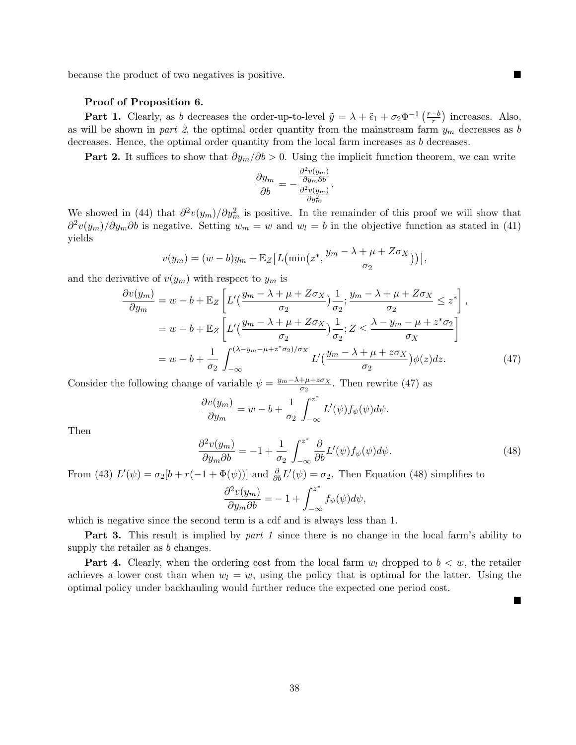because the product of two negatives is positive.

#### Proof of Proposition 6.

**Part 1.** Clearly, as b decreases the order-up-to-level  $\tilde{y} = \lambda + \tilde{\epsilon}_1 + \sigma_2 \Phi^{-1} \left( \frac{r-b}{r} \right)$  $\frac{-b}{r}$ ) increases. Also, as will be shown in part 2, the optimal order quantity from the mainstream farm  $y_m$  decreases as b decreases. Hence, the optimal order quantity from the local farm increases as b decreases.

**Part 2.** It suffices to show that  $\partial y_m/\partial b > 0$ . Using the implicit function theorem, we can write

$$
\frac{\partial y_m}{\partial b} = -\frac{\frac{\partial^2 v(y_m)}{\partial y_m \partial b}}{\frac{\partial^2 v(y_m)}{\partial y_m^2}}.
$$

We showed in (44) that  $\partial^2 v(y_m)/\partial y_m^2$  is positive. In the remainder of this proof we will show that  $\partial^2 v(y_m)/\partial y_m \partial b$  is negative. Setting  $w_m = w$  and  $w_l = b$  in the objective function as stated in (41) yields

$$
v(y_m) = (w - b)y_m + \mathbb{E}_Z \big[ L\big(\min\big(z^*, \frac{y_m - \lambda + \mu + Z\sigma_X}{\sigma_2}\big)\big) \big],
$$

and the derivative of  $v(y_m)$  with respect to  $y_m$  is

$$
\frac{\partial v(y_m)}{\partial y_m} = w - b + \mathbb{E}_Z \left[ L' \left( \frac{y_m - \lambda + \mu + Z \sigma_X}{\sigma_2} \right) \frac{1}{\sigma_2}; \frac{y_m - \lambda + \mu + Z \sigma_X}{\sigma_2} \le z^* \right],
$$
  
\n
$$
= w - b + \mathbb{E}_Z \left[ L' \left( \frac{y_m - \lambda + \mu + Z \sigma_X}{\sigma_2} \right) \frac{1}{\sigma_2}; Z \le \frac{\lambda - y_m - \mu + z^* \sigma_2}{\sigma_X} \right]
$$
  
\n
$$
= w - b + \frac{1}{\sigma_2} \int_{-\infty}^{(\lambda - y_m - \mu + z^* \sigma_2)/\sigma_X} L' \left( \frac{y_m - \lambda + \mu + z \sigma_X}{\sigma_2} \right) \phi(z) dz.
$$
 (47)

Consider the following change of variable  $\psi = \frac{y_m - \lambda + \mu + z \sigma_X}{\sigma_S}$  $\frac{+\mu+2\sigma_X}{\sigma_2}$ . Then rewrite (47) as

$$
\frac{\partial v(y_m)}{\partial y_m} = w - b + \frac{1}{\sigma_2} \int_{-\infty}^{z^*} L'(\psi) f_{\psi}(\psi) d\psi.
$$

Then

$$
\frac{\partial^2 v(y_m)}{\partial y_m \partial b} = -1 + \frac{1}{\sigma_2} \int_{-\infty}^{z^*} \frac{\partial}{\partial b} L'(\psi) f_{\psi}(\psi) d\psi.
$$
\n(48)

 $\blacksquare$ 

From (43)  $L'(\psi) = \sigma_2[b + r(-1 + \Phi(\psi))]$  and  $\frac{\partial}{\partial b}L'(\psi) = \sigma_2$ . Then Equation (48) simplifies to

$$
\frac{\partial^2 v(y_m)}{\partial y_m \partial b} = -1 + \int_{-\infty}^{z^*} f_{\psi}(\psi) d\psi,
$$

which is negative since the second term is a cdf and is always less than 1.

**Part 3.** This result is implied by part 1 since there is no change in the local farm's ability to supply the retailer as b changes.

**Part 4.** Clearly, when the ordering cost from the local farm  $w_l$  dropped to  $b < w$ , the retailer achieves a lower cost than when  $w_l = w$ , using the policy that is optimal for the latter. Using the optimal policy under backhauling would further reduce the expected one period cost.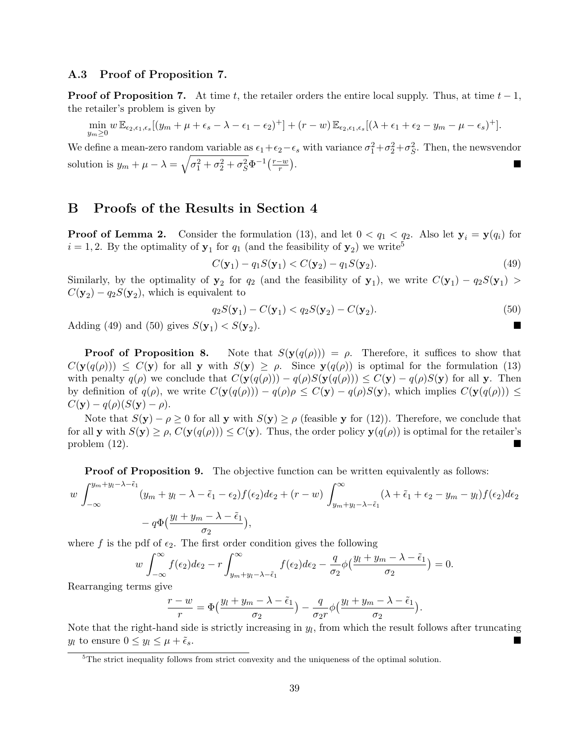### A.3 Proof of Proposition 7.

**Proof of Proposition 7.** At time t, the retailer orders the entire local supply. Thus, at time  $t - 1$ , the retailer's problem is given by

$$
\min_{y_m \geq 0} w \mathbb{E}_{\epsilon_2,\epsilon_1,\epsilon_s} [(y_m + \mu + \epsilon_s - \lambda - \epsilon_1 - \epsilon_2)^+] + (r - w) \mathbb{E}_{\epsilon_2,\epsilon_1,\epsilon_s} [(\lambda + \epsilon_1 + \epsilon_2 - y_m - \mu - \epsilon_s)^+].
$$

We define a mean-zero random variable as  $\epsilon_1+\epsilon_2-\epsilon_s$  with variance  $\sigma_1^2+\sigma_2^2+\sigma_5^2$ . Then, the newsvendor solution is  $y_m + \mu - \lambda = \sqrt{\sigma_1^2 + \sigma_2^2 + \sigma_S^2} \Phi^{-1} \left( \frac{r-w}{r} \right)$  $\frac{-w}{r}$ .

### B Proofs of the Results in Section 4

**Proof of Lemma 2.** Consider the formulation (13), and let  $0 < q_1 < q_2$ . Also let  $y_i = y(q_i)$  for  $i = 1, 2$ . By the optimality of  $y_1$  for  $q_1$  (and the feasibility of  $y_2$ ) we write<sup>5</sup>

$$
C(\mathbf{y}_1) - q_1 S(\mathbf{y}_1) < C(\mathbf{y}_2) - q_1 S(\mathbf{y}_2). \tag{49}
$$

Similarly, by the optimality of  $y_2$  for  $q_2$  (and the feasibility of  $y_1$ ), we write  $C(y_1) - q_2S(y_1) >$  $C(\mathbf{y}_2) - q_2 S(\mathbf{y}_2)$ , which is equivalent to

$$
q_2S(\mathbf{y}_1) - C(\mathbf{y}_1) < q_2S(\mathbf{y}_2) - C(\mathbf{y}_2). \tag{50}
$$

Adding (49) and (50) gives  $S(\mathbf{y}_1) < S(\mathbf{y}_2)$ ).

**Proof of Proposition 8.** Note that  $S(y(q(\rho))) = \rho$ . Therefore, it suffices to show that  $C(\mathbf{y}(q(\rho))) \leq C(\mathbf{y})$  for all y with  $S(\mathbf{y}) \geq \rho$ . Since  $\mathbf{y}(q(\rho))$  is optimal for the formulation (13) with penalty  $q(\rho)$  we conclude that  $C(\mathbf{y}(q(\rho))) - q(\rho)S(\mathbf{y}(q(\rho))) \leq C(\mathbf{y}) - q(\rho)S(\mathbf{y})$  for all y. Then by definition of  $q(\rho)$ , we write  $C(\mathbf{y}(q(\rho))) - q(\rho)\rho \leq C(\mathbf{y}) - q(\rho)S(\mathbf{y})$ , which implies  $C(\mathbf{y}(q(\rho))) \leq C(\mathbf{y}) - q(\rho)S(\mathbf{y})$ .  $C(\mathbf{y}) - q(\rho)(S(\mathbf{y}) - \rho).$ 

Note that  $S(\mathbf{y}) - \rho \ge 0$  for all y with  $S(\mathbf{y}) \ge \rho$  (feasible y for (12)). Therefore, we conclude that for all y with  $S(y) \ge \rho$ ,  $C(y(q(\rho))) \le C(y)$ . Thus, the order policy  $y(q(\rho))$  is optimal for the retailer's problem (12).

**Proof of Proposition 9.** The objective function can be written equivalently as follows:

$$
w \int_{-\infty}^{y_m+y_l-\lambda-\tilde{\epsilon}_1} (y_m+y_l-\lambda-\tilde{\epsilon}_1-\epsilon_2) f(\epsilon_2) d\epsilon_2 + (r-w) \int_{y_m+y_l-\lambda-\tilde{\epsilon}_1}^{\infty} (\lambda+\tilde{\epsilon}_1+\epsilon_2-y_m-y_l) f(\epsilon_2) d\epsilon_2
$$

$$
-q\Phi\left(\frac{y_l+y_m-\lambda-\tilde{\epsilon}_1}{\sigma_2}\right),
$$

where f is the pdf of  $\epsilon_2$ . The first order condition gives the following

$$
w \int_{-\infty}^{\infty} f(\epsilon_2) d\epsilon_2 - r \int_{y_m + y_l - \lambda - \tilde{\epsilon}_1}^{\infty} f(\epsilon_2) d\epsilon_2 - \frac{q}{\sigma_2} \phi \left( \frac{y_l + y_m - \lambda - \tilde{\epsilon}_1}{\sigma_2} \right) = 0.
$$

Rearranging terms give

$$
\frac{r-w}{r} = \Phi\left(\frac{y_l + y_m - \lambda - \tilde{\epsilon}_1}{\sigma_2}\right) - \frac{q}{\sigma_2 r} \phi\left(\frac{y_l + y_m - \lambda - \tilde{\epsilon}_1}{\sigma_2}\right).
$$

Note that the right-hand side is strictly increasing in  $y_l$ , from which the result follows after truncating  $y_l$  to ensure  $0 \le y_l \le \mu + \tilde{\epsilon}_s$ .

 ${}^{5}$ The strict inequality follows from strict convexity and the uniqueness of the optimal solution.